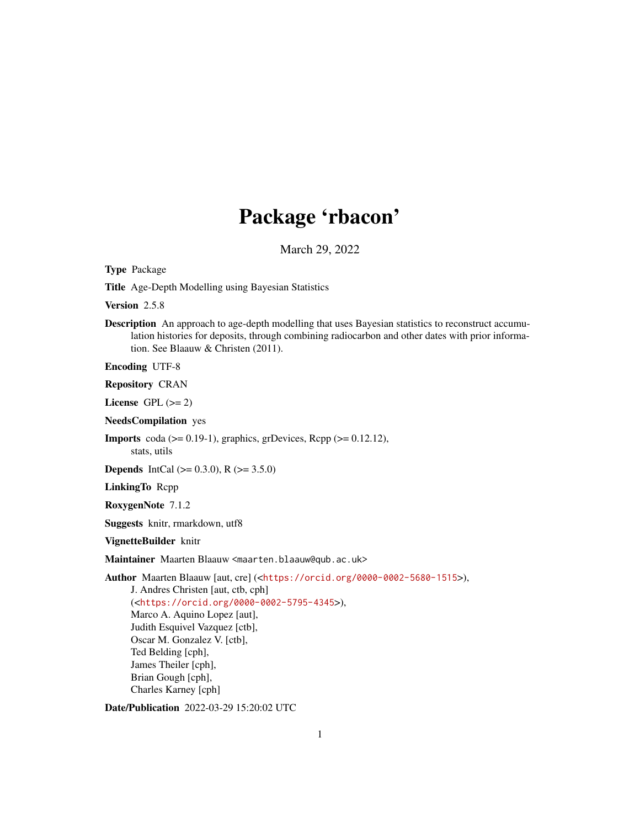# Package 'rbacon'

March 29, 2022

Type Package

Title Age-Depth Modelling using Bayesian Statistics

Version 2.5.8

Description An approach to age-depth modelling that uses Bayesian statistics to reconstruct accumulation histories for deposits, through combining radiocarbon and other dates with prior information. See Blaauw & Christen (2011).

Encoding UTF-8

Repository CRAN

License GPL  $(>= 2)$ 

NeedsCompilation yes

**Imports** coda ( $>= 0.19-1$ ), graphics, grDevices, Rcpp ( $>= 0.12.12$ ), stats, utils

**Depends** IntCal ( $>= 0.3.0$ ), R ( $>= 3.5.0$ )

LinkingTo Rcpp

RoxygenNote 7.1.2

Suggests knitr, rmarkdown, utf8

VignetteBuilder knitr

Maintainer Maarten Blaauw <maarten.blaauw@qub.ac.uk>

Author Maarten Blaauw [aut, cre] (<<https://orcid.org/0000-0002-5680-1515>>), J. Andres Christen [aut, ctb, cph] (<<https://orcid.org/0000-0002-5795-4345>>), Marco A. Aquino Lopez [aut], Judith Esquivel Vazquez [ctb], Oscar M. Gonzalez V. [ctb], Ted Belding [cph], James Theiler [cph], Brian Gough [cph], Charles Karney [cph]

Date/Publication 2022-03-29 15:20:02 UTC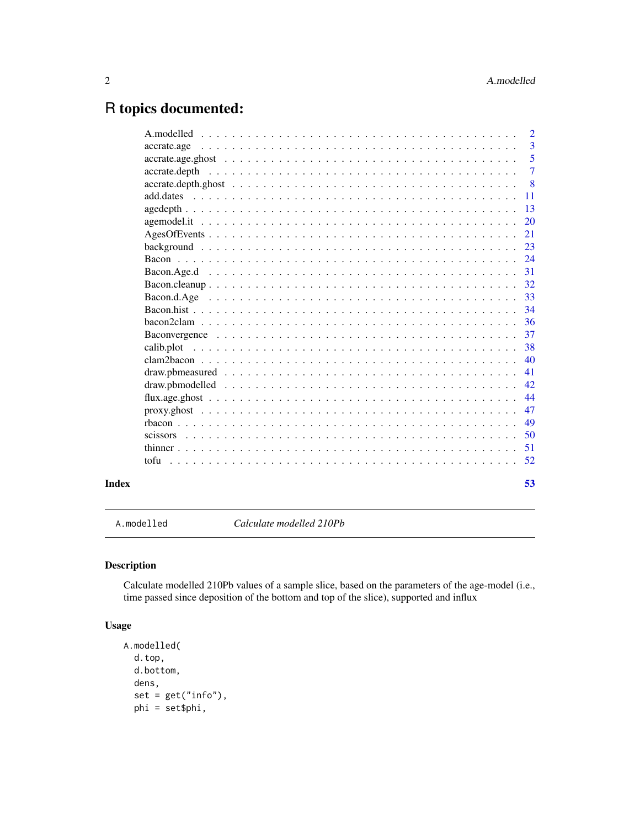# <span id="page-1-0"></span>R topics documented:

|       |                                                                                                                                                              | $\overline{2}$ |
|-------|--------------------------------------------------------------------------------------------------------------------------------------------------------------|----------------|
|       | accrate.age                                                                                                                                                  | 3              |
|       | $accrate. age. ghost \dots \dots \dots \dots \dots \dots \dots \dots \dots \dots \dots \dots \dots \dots \dots \dots$                                        | 5              |
|       | $\text{accrate}. \text{depth}$ $\ldots$ $\ldots$ $\ldots$ $\ldots$ $\ldots$ $\ldots$ $\ldots$ $\ldots$ $\ldots$ $\ldots$ $\ldots$ $\ldots$ $\ldots$ $\ldots$ | $\overline{7}$ |
|       |                                                                                                                                                              | 8              |
|       |                                                                                                                                                              | 11             |
|       |                                                                                                                                                              | 13             |
|       |                                                                                                                                                              | 20             |
|       |                                                                                                                                                              | 21             |
|       |                                                                                                                                                              | 23             |
|       |                                                                                                                                                              | 24             |
|       |                                                                                                                                                              | 31             |
|       |                                                                                                                                                              | 32             |
|       |                                                                                                                                                              | 33             |
|       |                                                                                                                                                              | 34             |
|       |                                                                                                                                                              | 36             |
|       |                                                                                                                                                              | 37             |
|       | calib.plot                                                                                                                                                   | 38             |
|       |                                                                                                                                                              | 40             |
|       |                                                                                                                                                              | 41             |
|       |                                                                                                                                                              | 42             |
|       |                                                                                                                                                              | 44             |
|       |                                                                                                                                                              | 47             |
|       |                                                                                                                                                              | 49             |
|       |                                                                                                                                                              | 50             |
|       |                                                                                                                                                              | 51             |
|       | tofu                                                                                                                                                         | 52             |
| Index |                                                                                                                                                              | 53             |

A.modelled *Calculate modelled 210Pb*

# Description

Calculate modelled 210Pb values of a sample slice, based on the parameters of the age-model (i.e., time passed since deposition of the bottom and top of the slice), supported and influx

# Usage

```
A.modelled(
 d.top,
 d.bottom,
 dens,
  set = get("info"),phi = set$phi,
```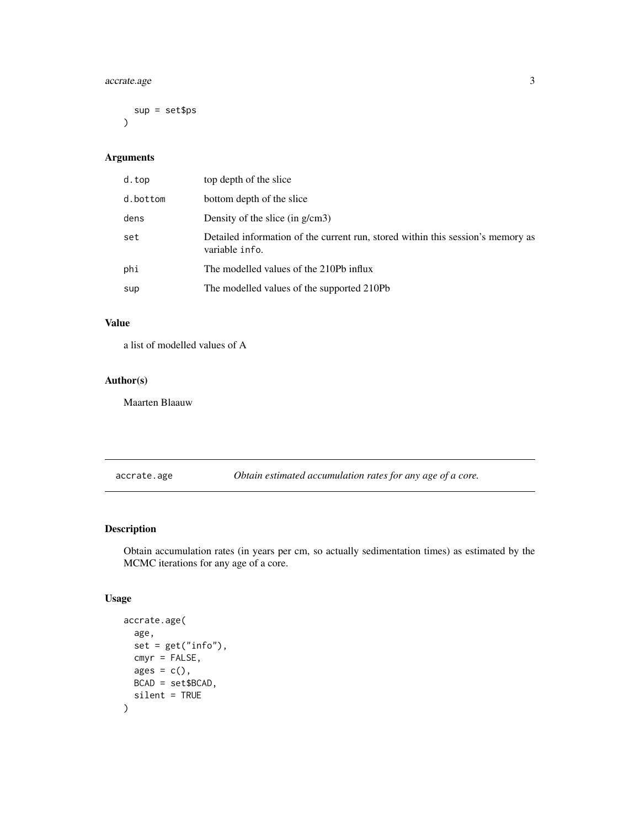# <span id="page-2-0"></span>accrate.age 3

```
sup = set$ps
\mathcal{L}
```
# Arguments

| d.top    | top depth of the slice                                                                            |
|----------|---------------------------------------------------------------------------------------------------|
| d.bottom | bottom depth of the slice                                                                         |
| dens     | Density of the slice (in $g/cm3$ )                                                                |
| set      | Detailed information of the current run, stored within this session's memory as<br>variable info. |
| phi      | The modelled values of the 210Pb influx                                                           |
| sup      | The modelled values of the supported 210Pb                                                        |

# Value

a list of modelled values of A

# Author(s)

Maarten Blaauw

accrate.age *Obtain estimated accumulation rates for any age of a core.*

# Description

Obtain accumulation rates (in years per cm, so actually sedimentation times) as estimated by the MCMC iterations for any age of a core.

# Usage

```
accrate.age(
  age,
  set = get("info"),cmyr = FALSE,
 ages = c(),
 BCAD = set$BCAD,
  silent = TRUE
)
```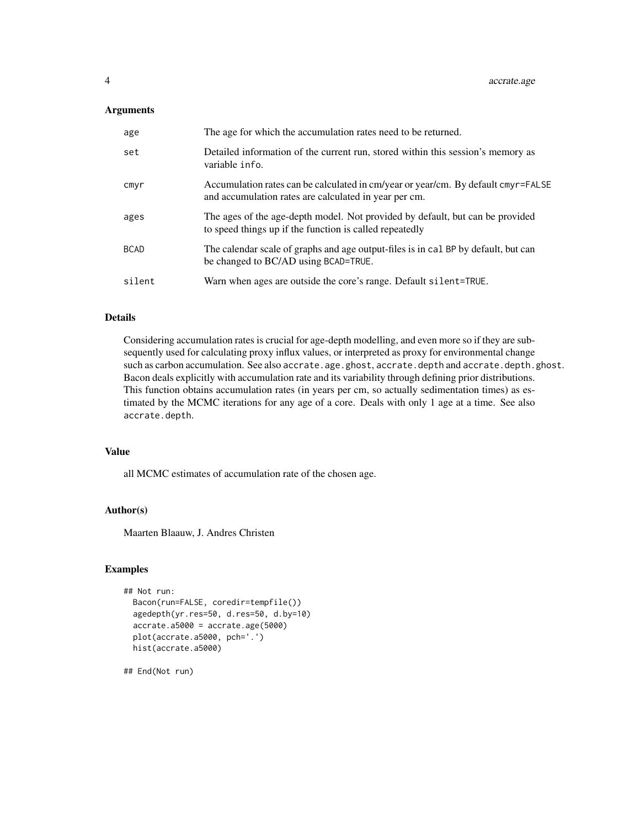# Arguments

| age         | The age for which the accumulation rates need to be returned.                                                                              |
|-------------|--------------------------------------------------------------------------------------------------------------------------------------------|
| set         | Detailed information of the current run, stored within this session's memory as<br>variable info.                                          |
| cmyr        | Accumulation rates can be calculated in cm/year or year/cm. By default cmyr=FALSE<br>and accumulation rates are calculated in year per cm. |
| ages        | The ages of the age-depth model. Not provided by default, but can be provided<br>to speed things up if the function is called repeatedly   |
| <b>BCAD</b> | The calendar scale of graphs and age output-files is in cal BP by default, but can<br>be changed to BC/AD using BCAD=TRUE.                 |
| silent      | Warn when ages are outside the core's range. Default silent=TRUE.                                                                          |

# Details

Considering accumulation rates is crucial for age-depth modelling, and even more so if they are subsequently used for calculating proxy influx values, or interpreted as proxy for environmental change such as carbon accumulation. See also accrate.age.ghost, accrate.depth and accrate.depth.ghost. Bacon deals explicitly with accumulation rate and its variability through defining prior distributions. This function obtains accumulation rates (in years per cm, so actually sedimentation times) as estimated by the MCMC iterations for any age of a core. Deals with only 1 age at a time. See also accrate.depth.

# Value

all MCMC estimates of accumulation rate of the chosen age.

#### Author(s)

Maarten Blaauw, J. Andres Christen

# Examples

```
## Not run:
 Bacon(run=FALSE, coredir=tempfile())
 agedepth(yr.res=50, d.res=50, d.by=10)
 accrate.a5000 = accrate.age(5000)
 plot(accrate.a5000, pch='.')
 hist(accrate.a5000)
```
## End(Not run)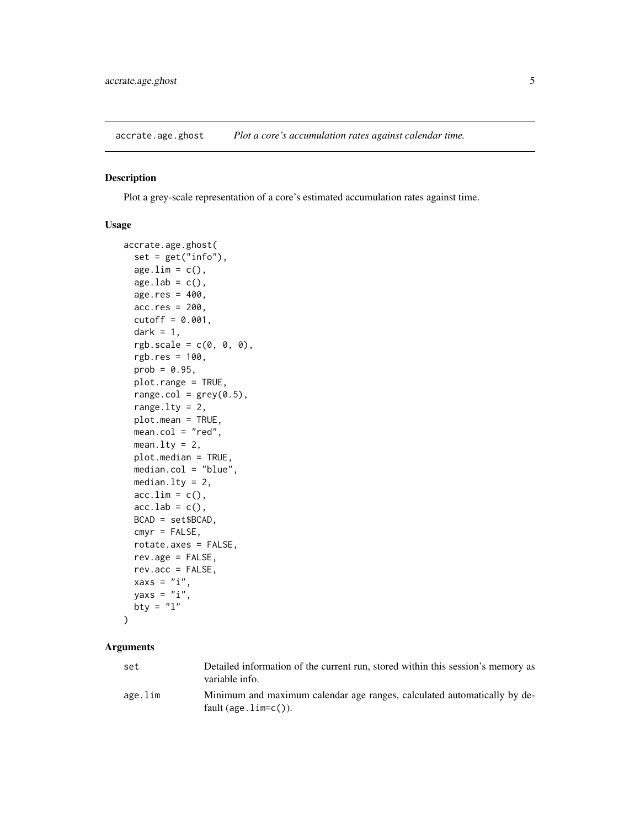<span id="page-4-0"></span>accrate.age.ghost *Plot a core's accumulation rates against calendar time.*

# Description

Plot a grey-scale representation of a core's estimated accumulation rates against time.

# Usage

```
accrate.age.ghost(
  set = get("info"),age.lim = c(),
  age.lab = c(),
 age.res = 400,
 accres = 200,cutoff = 0.001,dark = 1,
  rgbscale = c(0, 0, 0),rgb.res = 100,
 prob = 0.95,plot.range = TRUE,
 range.col = grey(0.5),
  range.lty = 2,
 plot.mean = TRUE,
 mean.col = "red",mean.lty = 2,
 plot.median = TRUE,
 median.col = "blue",
 median.lty = 2,
 acc.lim = c(),
  acc.lab = c(),
 BCAD = set$BCAD,
 cmyr = FALSE,
  rotate.axes = FALSE,
  rev.age = FALSE,
  revlace = FALSE,xaxs = "i",yaxs = "i",bty = "1")
```

| set     | Detailed information of the current run, stored within this session's memory as<br>variable info.    |
|---------|------------------------------------------------------------------------------------------------------|
| age.lim | Minimum and maximum calendar age ranges, calculated automatically by de-<br>fault (age. $lim=c()$ ). |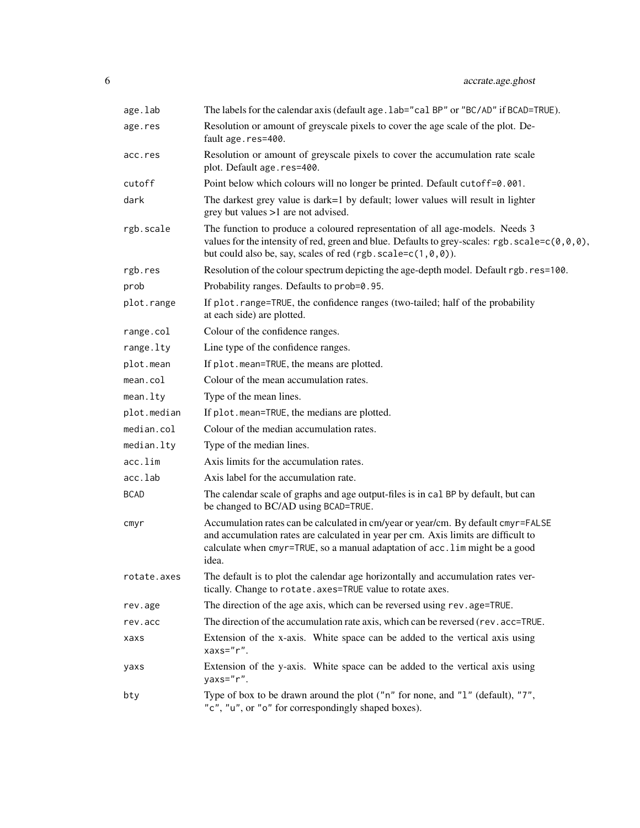| age.lab     | The labels for the calendar axis (default age . lab="cal BP" or "BC/AD" if BCAD=TRUE).                                                                                                                                                                                              |
|-------------|-------------------------------------------------------------------------------------------------------------------------------------------------------------------------------------------------------------------------------------------------------------------------------------|
| age.res     | Resolution or amount of greyscale pixels to cover the age scale of the plot. De-<br>fault age.res=400.                                                                                                                                                                              |
| acc.res     | Resolution or amount of greyscale pixels to cover the accumulation rate scale<br>plot. Default age.res=400.                                                                                                                                                                         |
| cutoff      | Point below which colours will no longer be printed. Default cutoff=0.001.                                                                                                                                                                                                          |
| dark        | The darkest grey value is dark=1 by default; lower values will result in lighter<br>grey but values $>1$ are not advised.                                                                                                                                                           |
| rgb.scale   | The function to produce a coloured representation of all age-models. Needs 3<br>values for the intensity of red, green and blue. Defaults to grey-scales: rgb. scale= $c(\theta, \theta, \theta)$ ,<br>but could also be, say, scales of red (rgb. scale= $c(1, \theta, \theta)$ ). |
| rgb.res     | Resolution of the colour spectrum depicting the age-depth model. Default rgb.res=100.                                                                                                                                                                                               |
| prob        | Probability ranges. Defaults to prob=0.95.                                                                                                                                                                                                                                          |
| plot.range  | If plot. range=TRUE, the confidence ranges (two-tailed; half of the probability<br>at each side) are plotted.                                                                                                                                                                       |
| range.col   | Colour of the confidence ranges.                                                                                                                                                                                                                                                    |
| range.lty   | Line type of the confidence ranges.                                                                                                                                                                                                                                                 |
| plot.mean   | If plot.mean=TRUE, the means are plotted.                                                                                                                                                                                                                                           |
| mean.col    | Colour of the mean accumulation rates.                                                                                                                                                                                                                                              |
| mean.lty    | Type of the mean lines.                                                                                                                                                                                                                                                             |
| plot.median | If plot.mean=TRUE, the medians are plotted.                                                                                                                                                                                                                                         |
| median.col  | Colour of the median accumulation rates.                                                                                                                                                                                                                                            |
| median.lty  | Type of the median lines.                                                                                                                                                                                                                                                           |
| acc.lim     | Axis limits for the accumulation rates.                                                                                                                                                                                                                                             |
| acc.lab     | Axis label for the accumulation rate.                                                                                                                                                                                                                                               |
| <b>BCAD</b> | The calendar scale of graphs and age output-files is in cal BP by default, but can<br>be changed to BC/AD using BCAD=TRUE.                                                                                                                                                          |
| cmyr        | Accumulation rates can be calculated in cm/year or year/cm. By default cmyr=FALSE<br>and accumulation rates are calculated in year per cm. Axis limits are difficult to<br>calculate when cmyr=TRUE, so a manual adaptation of acc. lim might be a good<br>idea.                    |
| rotate.axes | The default is to plot the calendar age horizontally and accumulation rates ver-<br>tically. Change to rotate. axes=TRUE value to rotate axes.                                                                                                                                      |
| rev.age     | The direction of the age axis, which can be reversed using rev. age=TRUE.                                                                                                                                                                                                           |
| rev.acc     | The direction of the accumulation rate axis, which can be reversed (rev. acc=TRUE.                                                                                                                                                                                                  |
| xaxs        | Extension of the x-axis. White space can be added to the vertical axis using<br>xaxs="r".                                                                                                                                                                                           |
| yaxs        | Extension of the y-axis. White space can be added to the vertical axis using<br>yaxs="r".                                                                                                                                                                                           |
| bty         | Type of box to be drawn around the plot ("n" for none, and "1" (default), "7",<br>"c", "u", or "o" for correspondingly shaped boxes).                                                                                                                                               |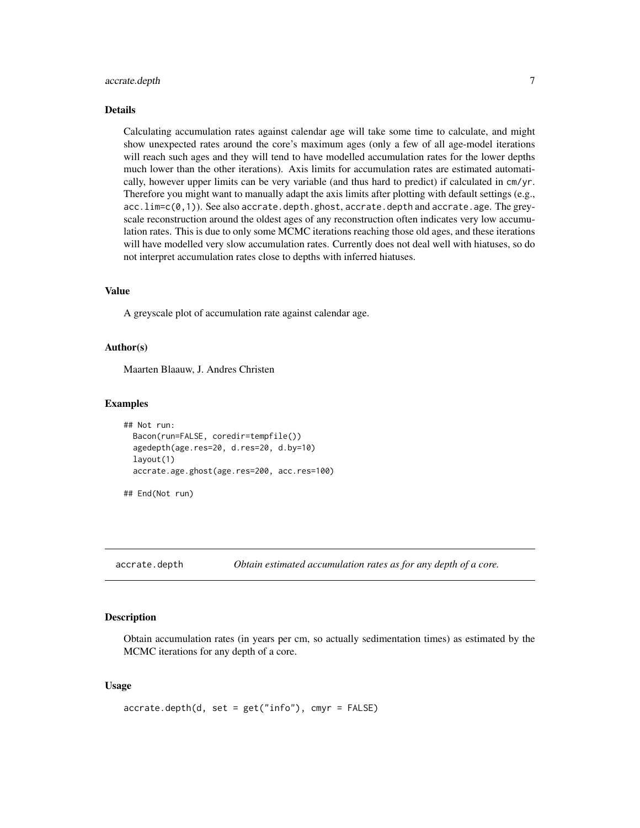#### <span id="page-6-0"></span>accrate.depth 7

#### Details

Calculating accumulation rates against calendar age will take some time to calculate, and might show unexpected rates around the core's maximum ages (only a few of all age-model iterations will reach such ages and they will tend to have modelled accumulation rates for the lower depths much lower than the other iterations). Axis limits for accumulation rates are estimated automatically, however upper limits can be very variable (and thus hard to predict) if calculated in cm/yr. Therefore you might want to manually adapt the axis limits after plotting with default settings (e.g.,  $accu = c(0,1)$ . See also accrate.depth.ghost, accrate.depth and accrate.age. The greyscale reconstruction around the oldest ages of any reconstruction often indicates very low accumulation rates. This is due to only some MCMC iterations reaching those old ages, and these iterations will have modelled very slow accumulation rates. Currently does not deal well with hiatuses, so do not interpret accumulation rates close to depths with inferred hiatuses.

#### Value

A greyscale plot of accumulation rate against calendar age.

#### Author(s)

Maarten Blaauw, J. Andres Christen

#### Examples

```
## Not run:
 Bacon(run=FALSE, coredir=tempfile())
 agedepth(age.res=20, d.res=20, d.by=10)
 layout(1)
 accrate.age.ghost(age.res=200, acc.res=100)
```

```
## End(Not run)
```
accrate.depth *Obtain estimated accumulation rates as for any depth of a core.*

# Description

Obtain accumulation rates (in years per cm, so actually sedimentation times) as estimated by the MCMC iterations for any depth of a core.

#### Usage

```
accrate.depth(d, set = get("info"), cmyr = FALSE)
```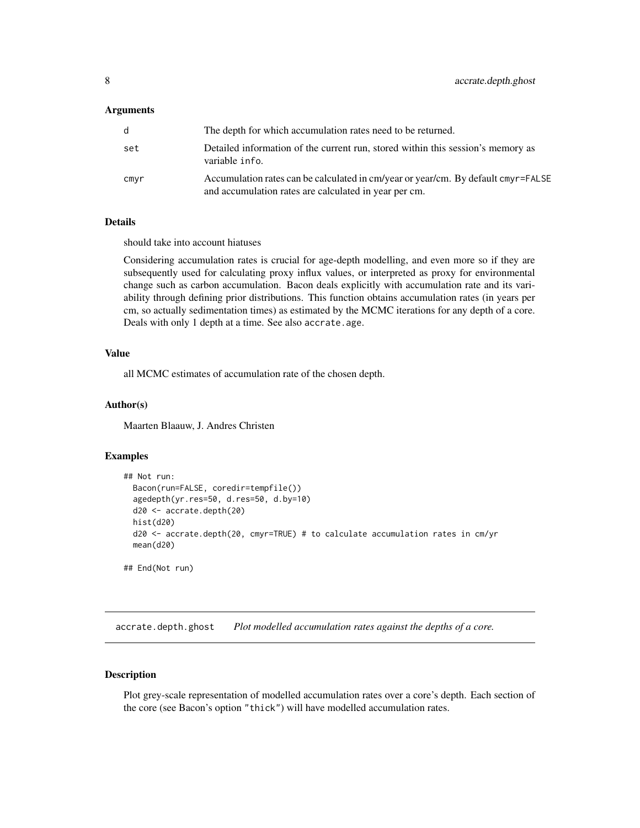#### <span id="page-7-0"></span>**Arguments**

| d    | The depth for which accumulation rates need to be returned.                                                                                |
|------|--------------------------------------------------------------------------------------------------------------------------------------------|
| set  | Detailed information of the current run, stored within this session's memory as<br>variable info.                                          |
| cmvr | Accumulation rates can be calculated in cm/year or year/cm. By default cmyr=FALSE<br>and accumulation rates are calculated in year per cm. |

#### Details

should take into account hiatuses

Considering accumulation rates is crucial for age-depth modelling, and even more so if they are subsequently used for calculating proxy influx values, or interpreted as proxy for environmental change such as carbon accumulation. Bacon deals explicitly with accumulation rate and its variability through defining prior distributions. This function obtains accumulation rates (in years per cm, so actually sedimentation times) as estimated by the MCMC iterations for any depth of a core. Deals with only 1 depth at a time. See also accrate.age.

#### Value

all MCMC estimates of accumulation rate of the chosen depth.

#### Author(s)

Maarten Blaauw, J. Andres Christen

#### Examples

```
## Not run:
 Bacon(run=FALSE, coredir=tempfile())
 agedepth(yr.res=50, d.res=50, d.by=10)
 d20 <- accrate.depth(20)
 hist(d20)
 d20 <- accrate.depth(20, cmyr=TRUE) # to calculate accumulation rates in cm/yr
 mean(d20)
## End(Not run)
```
accrate.depth.ghost *Plot modelled accumulation rates against the depths of a core.*

#### Description

Plot grey-scale representation of modelled accumulation rates over a core's depth. Each section of the core (see Bacon's option "thick") will have modelled accumulation rates.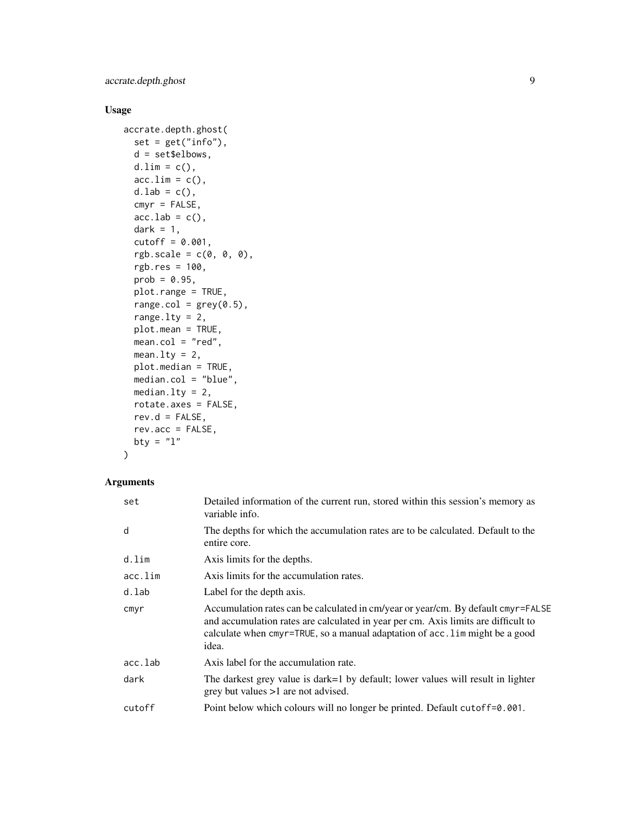accrate.depth.ghost 9

# Usage

```
accrate.depth.ghost(
 set = get("info"),d = set$elbows,
 d.lim = c(),
 acc.lim = c(),
 d.lab = c(),
  cmyr = FALSE,
  acc.lab = c(),
  dark = 1,
  cutoff = 0.001,rgbscale = c(0, 0, 0),rgb.res = 100,
 prob = 0.95,plot.range = TRUE,
  range.col = grey(0.5),
  range.lty = 2,
 plot.mean = TRUE,
 mean.col = "red",mean.lty = 2,
 plot.median = TRUE,
 median.col = "blue",
 median.lty = 2,
 rotate.axes = FALSE,
 rev.d = FALSE,rev.acc = FALSE,
 bty = "1"\mathcal{L}
```

| set     | Detailed information of the current run, stored within this session's memory as<br>variable info.                                                                                                                                                                |
|---------|------------------------------------------------------------------------------------------------------------------------------------------------------------------------------------------------------------------------------------------------------------------|
| d       | The depths for which the accumulation rates are to be calculated. Default to the<br>entire core.                                                                                                                                                                 |
| d.lim   | Axis limits for the depths.                                                                                                                                                                                                                                      |
| acc.lim | Axis limits for the accumulation rates.                                                                                                                                                                                                                          |
| d.lab   | Label for the depth axis.                                                                                                                                                                                                                                        |
| cmyr    | Accumulation rates can be calculated in cm/year or year/cm. By default cmyr=FALSE<br>and accumulation rates are calculated in year per cm. Axis limits are difficult to<br>calculate when cmyr=TRUE, so a manual adaptation of acc. lim might be a good<br>idea. |
| acc.lab | Axis label for the accumulation rate.                                                                                                                                                                                                                            |
| dark    | The darkest grey value is dark=1 by default; lower values will result in lighter<br>$grey$ but values $>1$ are not advised.                                                                                                                                      |
| cutoff  | Point below which colours will no longer be printed. Default cutoff=0.001.                                                                                                                                                                                       |
|         |                                                                                                                                                                                                                                                                  |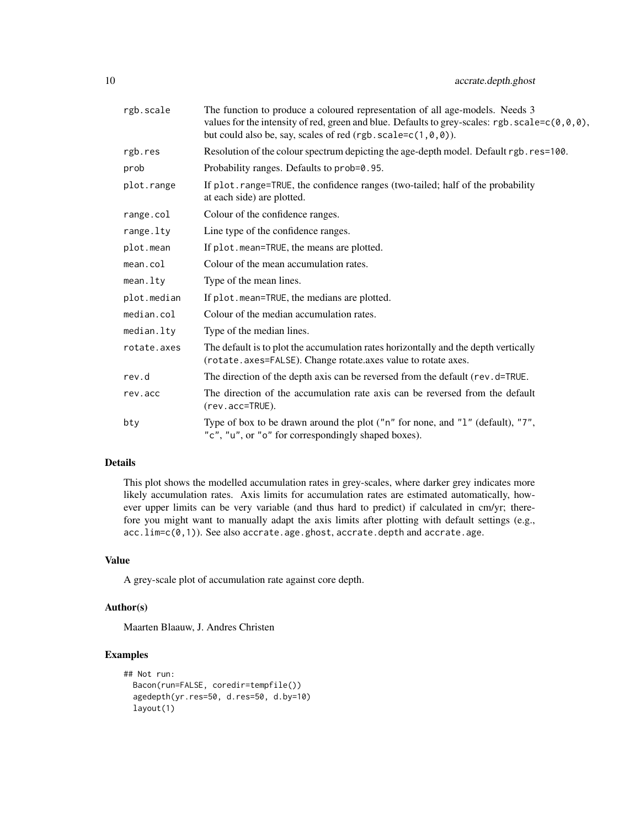| rgb.scale   | The function to produce a coloured representation of all age-models. Needs 3<br>values for the intensity of red, green and blue. Defaults to grey-scales: rgb. scale= $c(\emptyset, \emptyset, \emptyset)$ ,<br>but could also be, say, scales of red (rgb. scale= $c(1, \theta, \theta)$ ). |
|-------------|----------------------------------------------------------------------------------------------------------------------------------------------------------------------------------------------------------------------------------------------------------------------------------------------|
| rgb.res     | Resolution of the colour spectrum depicting the age-depth model. Default rgb. res=100.                                                                                                                                                                                                       |
| prob        | Probability ranges. Defaults to prob=0.95.                                                                                                                                                                                                                                                   |
| plot.range  | If plot. range=TRUE, the confidence ranges (two-tailed; half of the probability<br>at each side) are plotted.                                                                                                                                                                                |
| range.col   | Colour of the confidence ranges.                                                                                                                                                                                                                                                             |
| range.lty   | Line type of the confidence ranges.                                                                                                                                                                                                                                                          |
| plot.mean   | If plot . mean=TRUE, the means are plotted.                                                                                                                                                                                                                                                  |
| mean.col    | Colour of the mean accumulation rates.                                                                                                                                                                                                                                                       |
| mean.lty    | Type of the mean lines.                                                                                                                                                                                                                                                                      |
| plot.median | If plot . mean=TRUE, the medians are plotted.                                                                                                                                                                                                                                                |
| median.col  | Colour of the median accumulation rates.                                                                                                                                                                                                                                                     |
| median.lty  | Type of the median lines.                                                                                                                                                                                                                                                                    |
| rotate.axes | The default is to plot the accumulation rates horizontally and the depth vertically<br>(rotate.axes=FALSE). Change rotate.axes value to rotate axes.                                                                                                                                         |
| rev.d       | The direction of the depth axis can be reversed from the default (rev.d=TRUE.                                                                                                                                                                                                                |
| rev.acc     | The direction of the accumulation rate axis can be reversed from the default<br>(rev.acc=TRUE).                                                                                                                                                                                              |
| bty         | Type of box to be drawn around the plot ("n" for none, and "1" (default), "7",<br>"c", "u", or "o" for correspondingly shaped boxes).                                                                                                                                                        |

# Details

This plot shows the modelled accumulation rates in grey-scales, where darker grey indicates more likely accumulation rates. Axis limits for accumulation rates are estimated automatically, however upper limits can be very variable (and thus hard to predict) if calculated in cm/yr; therefore you might want to manually adapt the axis limits after plotting with default settings (e.g., acc.lim=c(0,1)). See also accrate.age.ghost, accrate.depth and accrate.age.

#### Value

A grey-scale plot of accumulation rate against core depth.

#### Author(s)

Maarten Blaauw, J. Andres Christen

# Examples

```
## Not run:
 Bacon(run=FALSE, coredir=tempfile())
 agedepth(yr.res=50, d.res=50, d.by=10)
 layout(1)
```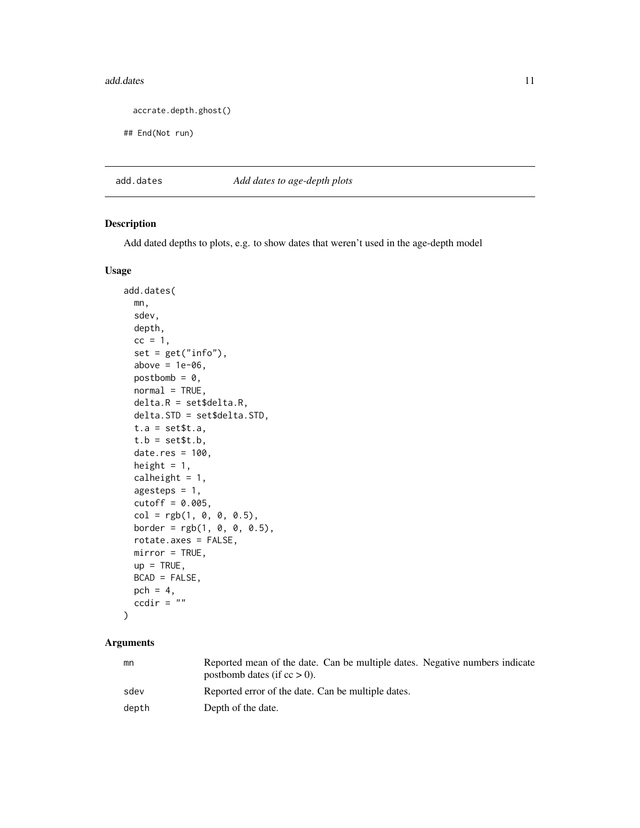#### <span id="page-10-0"></span>add.dates 11

```
accrate.depth.ghost()
```
## End(Not run)

add.dates *Add dates to age-depth plots*

# Description

Add dated depths to plots, e.g. to show dates that weren't used in the age-depth model

# Usage

```
add.dates(
  mn,
  sdev,
  depth,
  cc = 1,
  set = get("info"),above = 1e-06,
 postbomb = 0,
 normal = TRUE,delta.R = set$delta.R,
  delta.STD = set$delta.STD,
  t.a = set$t.a,
  t.b = set$t.b,
  date.res = 100,
  height = 1,
  calheight = 1,
  agesteps = 1,
  cutoff = 0.005,col = rgb(1, 0, 0, 0.5),
  border = <math>rgb(1, 0, 0, 0.5)</math>,rotate.axes = FALSE,
 mirror = TRUE,
 up = TRUE,BCAD = FALSE,
 pch = 4,
 ccdir = ")
```

| mn    | Reported mean of the date. Can be multiple dates. Negative numbers indicate |
|-------|-----------------------------------------------------------------------------|
|       | postbomb dates (if $cc > 0$ ).                                              |
| sdev  | Reported error of the date. Can be multiple dates.                          |
| depth | Depth of the date.                                                          |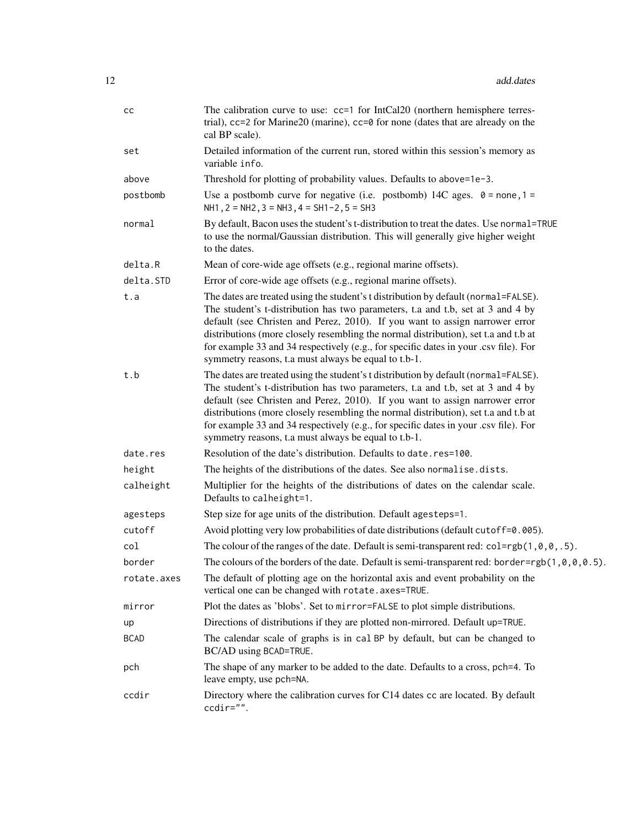| cc          | The calibration curve to use: cc=1 for IntCal20 (northern hemisphere terres-<br>trial), cc=2 for Marine20 (marine), cc=0 for none (dates that are already on the<br>cal BP scale).                                                                                                                                                                                                                                                                                                            |
|-------------|-----------------------------------------------------------------------------------------------------------------------------------------------------------------------------------------------------------------------------------------------------------------------------------------------------------------------------------------------------------------------------------------------------------------------------------------------------------------------------------------------|
| set         | Detailed information of the current run, stored within this session's memory as<br>variable info.                                                                                                                                                                                                                                                                                                                                                                                             |
| above       | Threshold for plotting of probability values. Defaults to above=1e-3.                                                                                                                                                                                                                                                                                                                                                                                                                         |
| postbomb    | Use a postbomb curve for negative (i.e. postbomb) 14C ages. $0 = none, 1 =$<br>NH1, $2 = NH2$ , $3 = NH3$ , $4 = SH1-2$ , $5 = SH3$                                                                                                                                                                                                                                                                                                                                                           |
| normal      | By default, Bacon uses the student's t-distribution to treat the dates. Use normal=TRUE<br>to use the normal/Gaussian distribution. This will generally give higher weight<br>to the dates.                                                                                                                                                                                                                                                                                                   |
| delta.R     | Mean of core-wide age offsets (e.g., regional marine offsets).                                                                                                                                                                                                                                                                                                                                                                                                                                |
| delta.STD   | Error of core-wide age offsets (e.g., regional marine offsets).                                                                                                                                                                                                                                                                                                                                                                                                                               |
| t.a         | The dates are treated using the student's t distribution by default (normal=FALSE).<br>The student's t-distribution has two parameters, t.a and t.b, set at 3 and 4 by<br>default (see Christen and Perez, 2010). If you want to assign narrower error<br>distributions (more closely resembling the normal distribution), set t.a and t.b at<br>for example 33 and 34 respectively (e.g., for specific dates in your .csv file). For<br>symmetry reasons, t.a must always be equal to t.b-1. |
| t.b         | The dates are treated using the student's t distribution by default (normal=FALSE).<br>The student's t-distribution has two parameters, t.a and t.b, set at 3 and 4 by<br>default (see Christen and Perez, 2010). If you want to assign narrower error<br>distributions (more closely resembling the normal distribution), set t.a and t.b at<br>for example 33 and 34 respectively (e.g., for specific dates in your .csv file). For<br>symmetry reasons, t.a must always be equal to t.b-1. |
| date.res    | Resolution of the date's distribution. Defaults to date.res=100.                                                                                                                                                                                                                                                                                                                                                                                                                              |
| height      | The heights of the distributions of the dates. See also normalise.dists.                                                                                                                                                                                                                                                                                                                                                                                                                      |
| calheight   | Multiplier for the heights of the distributions of dates on the calendar scale.<br>Defaults to calheight=1.                                                                                                                                                                                                                                                                                                                                                                                   |
| agesteps    | Step size for age units of the distribution. Default agesteps=1.                                                                                                                                                                                                                                                                                                                                                                                                                              |
| cutoff      | Avoid plotting very low probabilities of date distributions (default cutoff=0.005).                                                                                                                                                                                                                                                                                                                                                                                                           |
| col         | The colour of the ranges of the date. Default is semi-transparent red: $col=rgb(1, 0, 0, .5)$ .                                                                                                                                                                                                                                                                                                                                                                                               |
| border      | The colours of the borders of the date. Default is semi-transparent red: border=rgb(1,0,0,0.5).                                                                                                                                                                                                                                                                                                                                                                                               |
| rotate.axes | The default of plotting age on the horizontal axis and event probability on the<br>vertical one can be changed with rotate.axes=TRUE.                                                                                                                                                                                                                                                                                                                                                         |
| mirror      | Plot the dates as 'blobs'. Set to mirror=FALSE to plot simple distributions.                                                                                                                                                                                                                                                                                                                                                                                                                  |
| up          | Directions of distributions if they are plotted non-mirrored. Default up=TRUE.                                                                                                                                                                                                                                                                                                                                                                                                                |
| <b>BCAD</b> | The calendar scale of graphs is in cal BP by default, but can be changed to<br>BC/AD using BCAD=TRUE.                                                                                                                                                                                                                                                                                                                                                                                         |
| pch         | The shape of any marker to be added to the date. Defaults to a cross, pch=4. To<br>leave empty, use pch=NA.                                                                                                                                                                                                                                                                                                                                                                                   |
| ccdir       | Directory where the calibration curves for C14 dates cc are located. By default<br>ccdir="".                                                                                                                                                                                                                                                                                                                                                                                                  |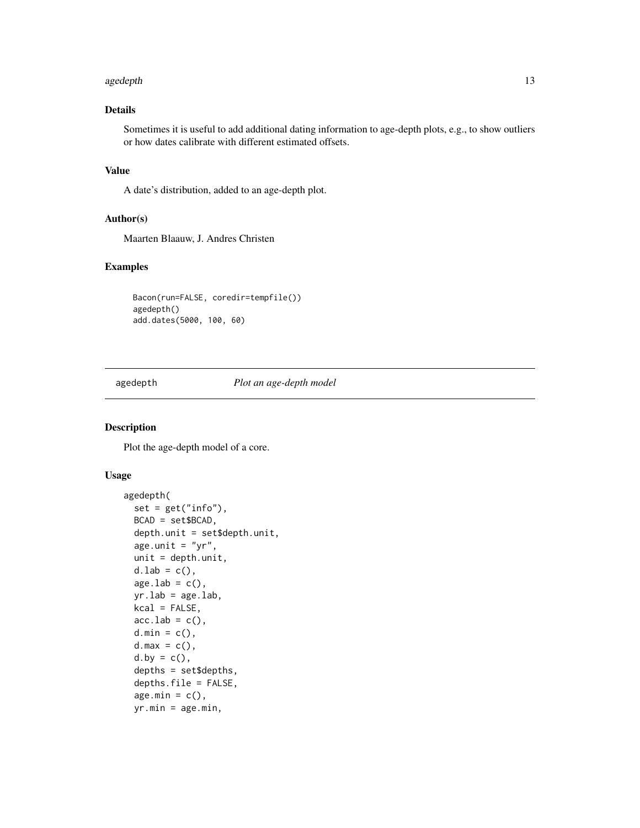#### <span id="page-12-0"></span>agedepth and the state of the state of the state of the state of the state of the state of the state of the state of the state of the state of the state of the state of the state of the state of the state of the state of t

# Details

Sometimes it is useful to add additional dating information to age-depth plots, e.g., to show outliers or how dates calibrate with different estimated offsets.

#### Value

A date's distribution, added to an age-depth plot.

# Author(s)

Maarten Blaauw, J. Andres Christen

#### Examples

```
Bacon(run=FALSE, coredir=tempfile())
agedepth()
add.dates(5000, 100, 60)
```
<span id="page-12-1"></span>agedepth *Plot an age-depth model*

#### Description

Plot the age-depth model of a core.

#### Usage

```
agedepth(
  set = get("info"),BCAD = set$BCAD,depth.unit = set$depth.unit,
  age.unit = "yr",unit = depth.unit,d.\,lab = c(),
  age. lab = c(),
  yr.lab = age.lab,kcal = FALE,acc.lab = c(),
  d.min = c(),
  d.max = c(),
  d.by = c(),
  depths = set$depths,
  depths.file = FALSE,
  age.min = c(),
  yr.min = age.min,
```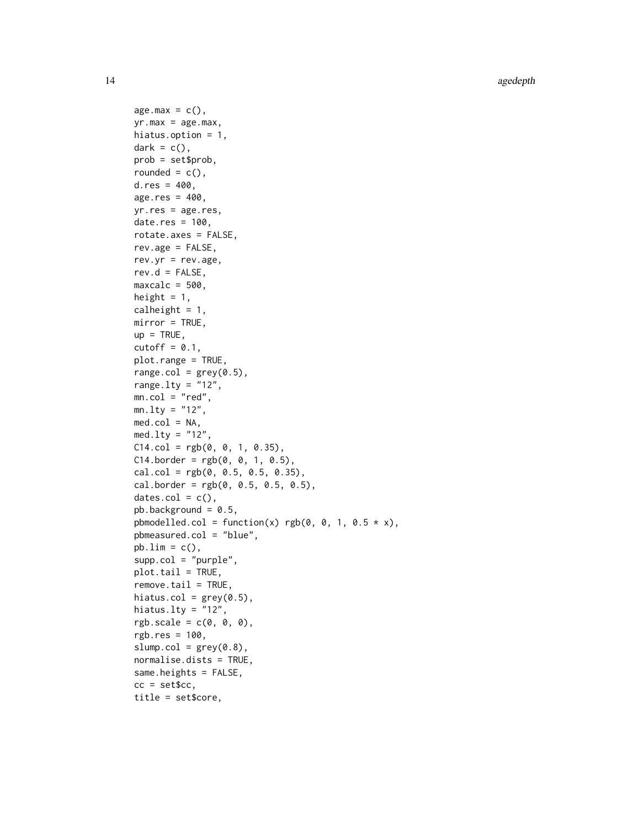14 agedepth and the set of the set of the set of the set of the set of the set of the set of the set of the set of the set of the set of the set of the set of the set of the set of the set of the set of the set of the set

```
age.max = c(),
yr.max = age.max,hiatus.option = 1,
dark = c(),
prob = set$prob,
rounded = c(),
d.res = 400,
age.res = 400,
yr.res = age.res,
date.res = 100,
rotate.axes = FALSE,
rev.age = FALSE,rev.yr = rev.age,
rev.d = FALSE,maxcalc = 500,height = 1,
calheight = 1,
mirror = TRUE,
up = TRUE,cutoff = 0.1,
plot.range = TRUE,
range.col = grey(0.5),
range.lty = "12",mn.col = "red",mn.1ty = "12",med,col = NA,
med.lty = "12",
C14.col = rgb(0, 0, 1, 0.35),C14.border = <math>rgb(0, 0, 1, 0.5)</math>,cal.col = rgb(0, 0.5, 0.5, 0.35),
cal. border = rgb(0, 0.5, 0.5, 0.5),
dates.col = c(),
pb.background = 0.5,
pbmodelled.col = function(x) rgb(0, 0, 1, 0.5 * x),
pbmeasured.col = "blue",
pb.lim = c(),
supp.col = "purple",plot.tail = TRUE,
remove.tail = TRUE,hiatus.col = grey(0.5),
hiatus.lty = "12",rgbscale = c(0, 0, 0),rgb.res = 100,
slump.col = grey(0.8),
normalise.dists = TRUE,
same.heights = FALSE,
cc = set$cc,
title = set$core,
```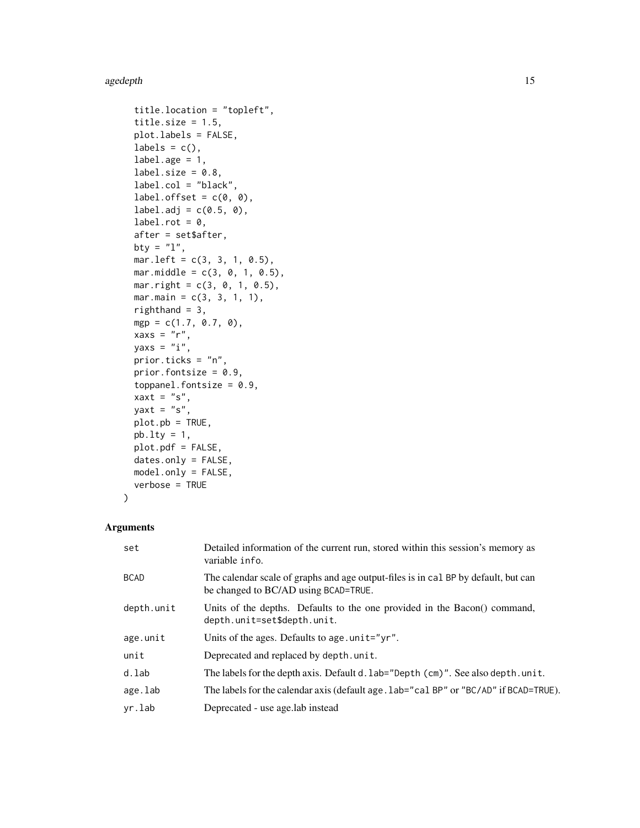#### agedepth and the contract of the contract of the contract of the contract of the contract of the contract of the contract of the contract of the contract of the contract of the contract of the contract of the contract of t

```
title.location = "topleft",
title.size = 1.5,
plot.labels = FALSE,
labels = c(),
label.age = 1,label.size = 0.8,
label.col = "black",
label.offset = c(0, 0),label.add = c(0.5, 0),label.rot = 0,
after = set$after,
bty = "1",mar. left = c(3, 3, 1, 0.5),
mar.middle = c(3, 0, 1, 0.5),
mar. right = c(3, 0, 1, 0.5),mar.mainloop = c(3, 3, 1, 1),righthand = 3,
mgp = c(1.7, 0.7, 0),
xaxs = "r",yaxs = "i",prior.ticks = "n",
prior.fontsize = 0.9,
toppanel.fontsize = 0.9,
xaxt = "s",yaxt = "s",plot.pb = TRUE,pb.lty = 1,
plot.pdf = FALSE,
dates.only = FALSE,
model.only = FALSE,
verbose = TRUE
```
# Arguments

 $\mathcal{L}$ 

| set         | Detailed information of the current run, stored within this session's memory as<br>variable info.                          |
|-------------|----------------------------------------------------------------------------------------------------------------------------|
| <b>BCAD</b> | The calendar scale of graphs and age output-files is in cal BP by default, but can<br>be changed to BC/AD using BCAD=TRUE. |
| depth.unit  | Units of the depths. Defaults to the one provided in the Bacon() command,<br>depth.unit=set\$depth.unit.                   |
| age.unit    | Units of the ages. Defaults to age. $unit="vr$ .                                                                           |
| unit        | Deprecated and replaced by depth.unit.                                                                                     |
| d.lab       | The labels for the depth axis. Default d. lab="Depth (cm)". See also depth.unit.                                           |
| age.lab     | The labels for the calendar axis (default age . lab="cal BP" or "BC/AD" if BCAD=TRUE).                                     |
| yr.lab      | Deprecated - use age. lab instead                                                                                          |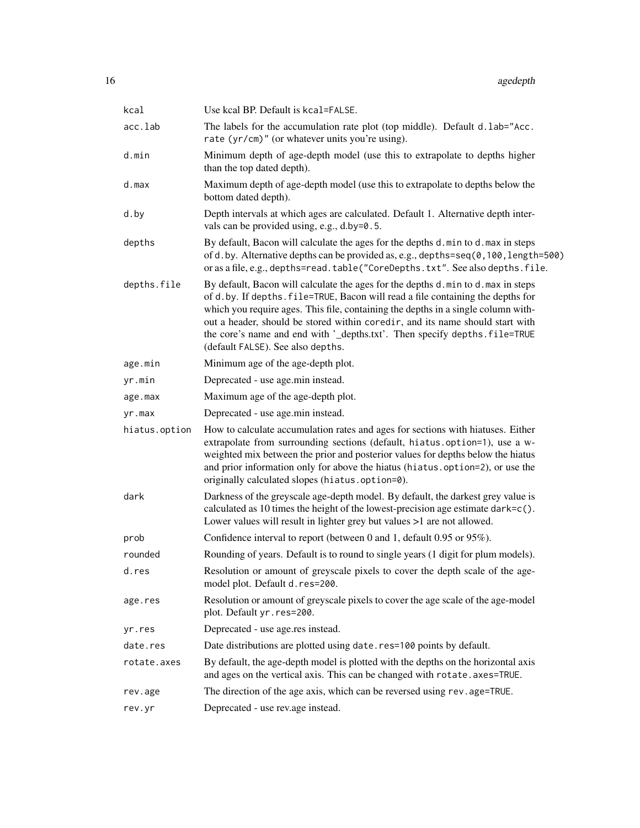| kcal          | Use kcal BP. Default is kcal=FALSE.                                                                                                                                                                                                                                                                                                                                                                                                                         |
|---------------|-------------------------------------------------------------------------------------------------------------------------------------------------------------------------------------------------------------------------------------------------------------------------------------------------------------------------------------------------------------------------------------------------------------------------------------------------------------|
| acc.lab       | The labels for the accumulation rate plot (top middle). Default d. lab="Acc.<br>rate (yr/cm)" (or whatever units you're using).                                                                                                                                                                                                                                                                                                                             |
| d.min         | Minimum depth of age-depth model (use this to extrapolate to depths higher<br>than the top dated depth).                                                                                                                                                                                                                                                                                                                                                    |
| d.max         | Maximum depth of age-depth model (use this to extrapolate to depths below the<br>bottom dated depth).                                                                                                                                                                                                                                                                                                                                                       |
| d.by          | Depth intervals at which ages are calculated. Default 1. Alternative depth inter-<br>vals can be provided using, e.g., d.by=0.5.                                                                                                                                                                                                                                                                                                                            |
| depths        | By default, Bacon will calculate the ages for the depths d.min to d.max in steps<br>of d.by. Alternative depths can be provided as, e.g., depths=seq(0,100, length=500)<br>or as a file, e.g., depths=read.table("CoreDepths.txt". See also depths.file.                                                                                                                                                                                                    |
| depths.file   | By default, Bacon will calculate the ages for the depths d.min to d.max in steps<br>of d.by. If depths. file=TRUE, Bacon will read a file containing the depths for<br>which you require ages. This file, containing the depths in a single column with-<br>out a header, should be stored within coredir, and its name should start with<br>the core's name and end with '_depths.txt'. Then specify depths.file=TRUE<br>(default FALSE). See also depths. |
| age.min       | Minimum age of the age-depth plot.                                                                                                                                                                                                                                                                                                                                                                                                                          |
| yr.min        | Deprecated - use age.min instead.                                                                                                                                                                                                                                                                                                                                                                                                                           |
| age.max       | Maximum age of the age-depth plot.                                                                                                                                                                                                                                                                                                                                                                                                                          |
| yr.max        | Deprecated - use age.min instead.                                                                                                                                                                                                                                                                                                                                                                                                                           |
| hiatus.option | How to calculate accumulation rates and ages for sections with hiatuses. Either<br>extrapolate from surrounding sections (default, hiatus.option=1), use a w-<br>weighted mix between the prior and posterior values for depths below the hiatus<br>and prior information only for above the hiatus (hiatus . option=2), or use the<br>originally calculated slopes (hiatus.option=0).                                                                      |
| dark          | Darkness of the greyscale age-depth model. By default, the darkest grey value is<br>calculated as 10 times the height of the lowest-precision age estimate dark=c().<br>Lower values will result in lighter grey but values >1 are not allowed.                                                                                                                                                                                                             |
| prob          | Confidence interval to report (between 0 and 1, default 0.95 or 95%).                                                                                                                                                                                                                                                                                                                                                                                       |
| rounded       | Rounding of years. Default is to round to single years (1 digit for plum models).                                                                                                                                                                                                                                                                                                                                                                           |
| d.res         | Resolution or amount of greyscale pixels to cover the depth scale of the age-<br>model plot. Default d. res=200.                                                                                                                                                                                                                                                                                                                                            |
| age.res       | Resolution or amount of greyscale pixels to cover the age scale of the age-model<br>plot. Default yr.res=200.                                                                                                                                                                                                                                                                                                                                               |
| yr.res        | Deprecated - use age.res instead.                                                                                                                                                                                                                                                                                                                                                                                                                           |
| date.res      | Date distributions are plotted using date.res=100 points by default.                                                                                                                                                                                                                                                                                                                                                                                        |
| rotate.axes   | By default, the age-depth model is plotted with the depths on the horizontal axis<br>and ages on the vertical axis. This can be changed with rotate. axes=TRUE.                                                                                                                                                                                                                                                                                             |
| rev.age       | The direction of the age axis, which can be reversed using rev. age=TRUE.                                                                                                                                                                                                                                                                                                                                                                                   |
| rev.yr        | Deprecated - use rev.age instead.                                                                                                                                                                                                                                                                                                                                                                                                                           |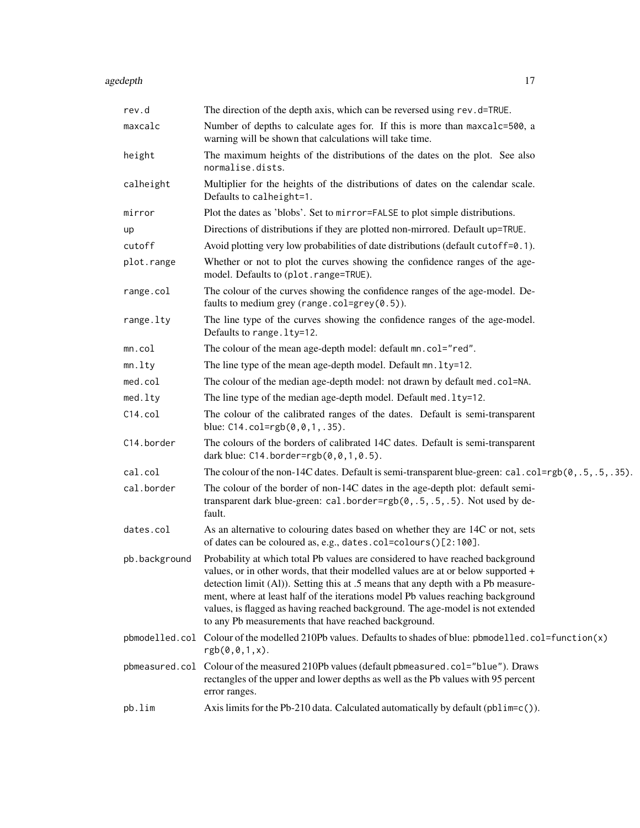#### agedepth and the contract of the contract of the contract of the contract of the contract of the contract of the contract of the contract of the contract of the contract of the contract of the contract of the contract of t

| rev.d         | The direction of the depth axis, which can be reversed using rev.d=TRUE.                                                                                                                                                                                                                                                                                                                                                                                                              |
|---------------|---------------------------------------------------------------------------------------------------------------------------------------------------------------------------------------------------------------------------------------------------------------------------------------------------------------------------------------------------------------------------------------------------------------------------------------------------------------------------------------|
| maxcalc       | Number of depths to calculate ages for. If this is more than maxcalc=500, a<br>warning will be shown that calculations will take time.                                                                                                                                                                                                                                                                                                                                                |
| height        | The maximum heights of the distributions of the dates on the plot. See also<br>normalise.dists.                                                                                                                                                                                                                                                                                                                                                                                       |
| calheight     | Multiplier for the heights of the distributions of dates on the calendar scale.<br>Defaults to calheight=1.                                                                                                                                                                                                                                                                                                                                                                           |
| mirror        | Plot the dates as 'blobs'. Set to mirror=FALSE to plot simple distributions.                                                                                                                                                                                                                                                                                                                                                                                                          |
| up            | Directions of distributions if they are plotted non-mirrored. Default up=TRUE.                                                                                                                                                                                                                                                                                                                                                                                                        |
| cutoff        | Avoid plotting very low probabilities of date distributions (default cutoff=0.1).                                                                                                                                                                                                                                                                                                                                                                                                     |
| plot.range    | Whether or not to plot the curves showing the confidence ranges of the age-<br>model. Defaults to (plot.range=TRUE).                                                                                                                                                                                                                                                                                                                                                                  |
| range.col     | The colour of the curves showing the confidence ranges of the age-model. De-<br>faults to medium grey (range.col=grey $(0.5)$ ).                                                                                                                                                                                                                                                                                                                                                      |
| range.lty     | The line type of the curves showing the confidence ranges of the age-model.<br>Defaults to range. 1ty=12.                                                                                                                                                                                                                                                                                                                                                                             |
| mn.col        | The colour of the mean age-depth model: default mn.col="red".                                                                                                                                                                                                                                                                                                                                                                                                                         |
| mn.           | The line type of the mean age-depth model. Default mn. 1ty=12.                                                                                                                                                                                                                                                                                                                                                                                                                        |
| med.col       | The colour of the median age-depth model: not drawn by default med. col=NA.                                                                                                                                                                                                                                                                                                                                                                                                           |
| med.lty       | The line type of the median age-depth model. Default med. 1ty=12.                                                                                                                                                                                                                                                                                                                                                                                                                     |
| C14.col       | The colour of the calibrated ranges of the dates. Default is semi-transparent<br>blue: $C14.col=rgb(0, 0, 1, .35)$ .                                                                                                                                                                                                                                                                                                                                                                  |
| C14.border    | The colours of the borders of calibrated 14C dates. Default is semi-transparent<br>dark blue: C14.border=rgb(0,0,1,0.5).                                                                                                                                                                                                                                                                                                                                                              |
| cal.col       | The colour of the non-14C dates. Default is semi-transparent blue-green: $cal$ . $col = rgb(0, .5, .5, .35)$ .                                                                                                                                                                                                                                                                                                                                                                        |
| cal.border    | The colour of the border of non-14C dates in the age-depth plot: default semi-<br>transparent dark blue-green: cal.border=rgb(0,.5,.5,.5). Not used by de-<br>fault.                                                                                                                                                                                                                                                                                                                  |
| dates.col     | As an alternative to colouring dates based on whether they are 14C or not, sets<br>of dates can be coloured as, e.g., dates.col=colours()[2:100].                                                                                                                                                                                                                                                                                                                                     |
| pb.background | Probability at which total Pb values are considered to have reached background<br>values, or in other words, that their modelled values are at or below supported +<br>detection limit (Al)). Setting this at .5 means that any depth with a Pb measure-<br>ment, where at least half of the iterations model Pb values reaching background<br>values, is flagged as having reached background. The age-model is not extended<br>to any Pb measurements that have reached background. |
|               | pbmodelled.col Colour of the modelled 210Pb values. Defaults to shades of blue: pbmodelled.col=function(x)<br>rgb(0, 0, 1, x).                                                                                                                                                                                                                                                                                                                                                        |
|               | pbmeasured.col Colour of the measured 210Pb values (default pbmeasured.col="blue"). Draws<br>rectangles of the upper and lower depths as well as the Pb values with 95 percent<br>error ranges.                                                                                                                                                                                                                                                                                       |
| pb.lim        | Axis limits for the Pb-210 data. Calculated automatically by default (pblim=c()).                                                                                                                                                                                                                                                                                                                                                                                                     |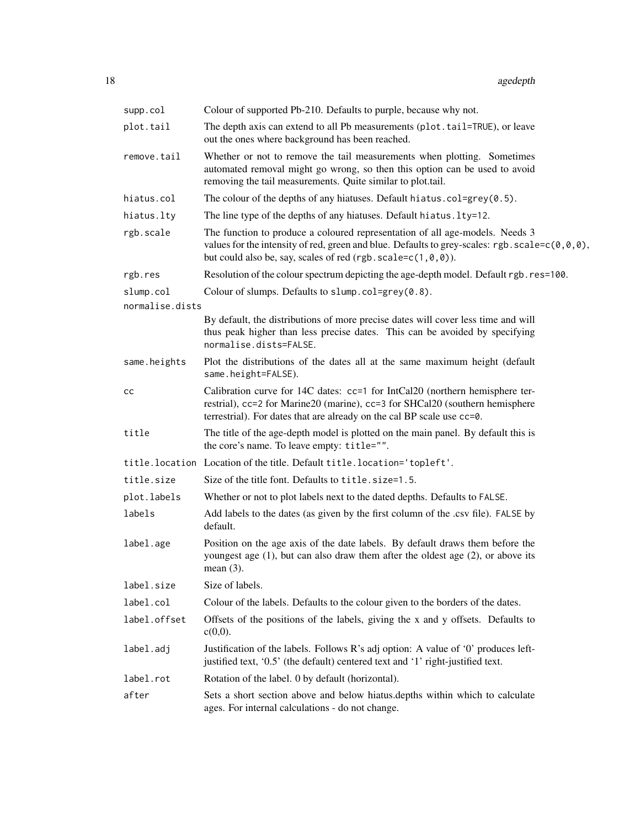| supp.col        | Colour of supported Pb-210. Defaults to purple, because why not.                                                                                                                                                                                                                                   |
|-----------------|----------------------------------------------------------------------------------------------------------------------------------------------------------------------------------------------------------------------------------------------------------------------------------------------------|
| plot.tail       | The depth axis can extend to all Pb measurements (plot.tail=TRUE), or leave<br>out the ones where background has been reached.                                                                                                                                                                     |
| remove.tail     | Whether or not to remove the tail measurements when plotting. Sometimes<br>automated removal might go wrong, so then this option can be used to avoid<br>removing the tail measurements. Quite similar to plot.tail.                                                                               |
| hiatus.col      | The colour of the depths of any hiatuses. Default hiatus.col=grey(0.5).                                                                                                                                                                                                                            |
| hiatus.lty      | The line type of the depths of any hiatuses. Default hiatus. 1ty=12.                                                                                                                                                                                                                               |
| rgb.scale       | The function to produce a coloured representation of all age-models. Needs 3<br>values for the intensity of red, green and blue. Defaults to grey-scales: rgb. scale= $c(\emptyset, \emptyset, \emptyset)$ ,<br>but could also be, say, scales of red (rgb. scale= $c(1, \emptyset, \emptyset)$ ). |
| rgb.res         | Resolution of the colour spectrum depicting the age-depth model. Default rgb.res=100.                                                                                                                                                                                                              |
| slump.col       | Colour of slumps. Defaults to slump.col=grey(0.8).                                                                                                                                                                                                                                                 |
| normalise.dists |                                                                                                                                                                                                                                                                                                    |
|                 | By default, the distributions of more precise dates will cover less time and will<br>thus peak higher than less precise dates. This can be avoided by specifying<br>normalise.dists=FALSE.                                                                                                         |
| same.heights    | Plot the distributions of the dates all at the same maximum height (default<br>same.height=FALSE).                                                                                                                                                                                                 |
| cс              | Calibration curve for 14C dates: cc=1 for IntCal20 (northern hemisphere ter-<br>restrial), cc=2 for Marine20 (marine), cc=3 for SHCal20 (southern hemisphere<br>terrestrial). For dates that are already on the cal BP scale use cc=0.                                                             |
| title           | The title of the age-depth model is plotted on the main panel. By default this is<br>the core's name. To leave empty: title="".                                                                                                                                                                    |
|                 | title.location Location of the title. Default title.location='topleft'.                                                                                                                                                                                                                            |
| title.size      | Size of the title font. Defaults to title.size=1.5.                                                                                                                                                                                                                                                |
| plot.labels     | Whether or not to plot labels next to the dated depths. Defaults to FALSE.                                                                                                                                                                                                                         |
| labels          | Add labels to the dates (as given by the first column of the .csv file). FALSE by<br>default.                                                                                                                                                                                                      |
| label.age       | Position on the age axis of the date labels. By default draws them before the<br>youngest age (1), but can also draw them after the oldest age (2), or above its<br>mean $(3)$ .                                                                                                                   |
| label.size      | Size of labels.                                                                                                                                                                                                                                                                                    |
| label.col       | Colour of the labels. Defaults to the colour given to the borders of the dates.                                                                                                                                                                                                                    |
| label.offset    | Offsets of the positions of the labels, giving the x and y offsets. Defaults to<br>$c(0,0)$ .                                                                                                                                                                                                      |
| label.adj       | Justification of the labels. Follows R's adj option: A value of '0' produces left-<br>justified text, '0.5' (the default) centered text and '1' right-justified text.                                                                                                                              |
| label.rot       | Rotation of the label. 0 by default (horizontal).                                                                                                                                                                                                                                                  |
| after           | Sets a short section above and below hiatus.depths within which to calculate<br>ages. For internal calculations - do not change.                                                                                                                                                                   |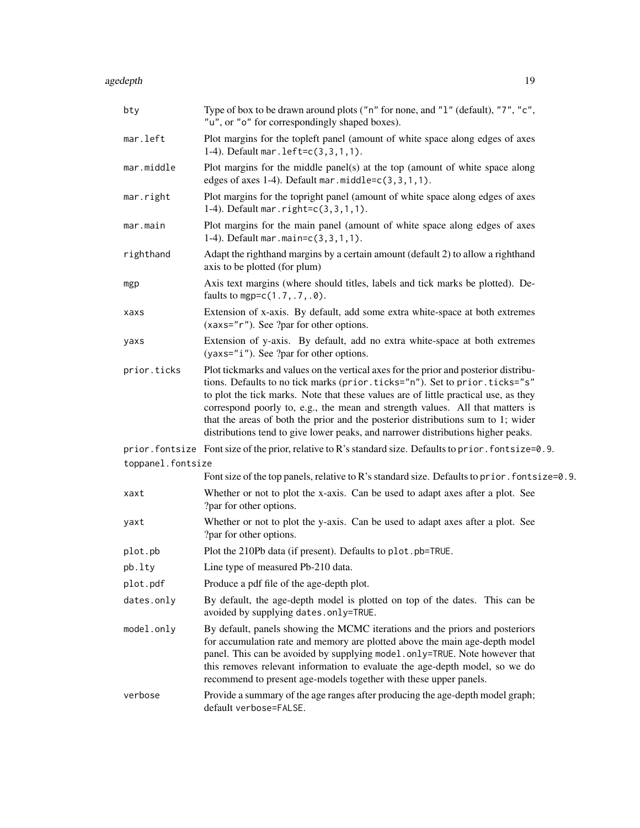#### agedepth and the contract of the contract of the contract of the contract of the contract of the contract of the contract of the contract of the contract of the contract of the contract of the contract of the contract of t

| bty               | Type of box to be drawn around plots ("n" for none, and "1" (default), "7", "c",<br>"u", or "o" for correspondingly shaped boxes).                                                                                                                                                                                                                                                                                                                                                                                 |  |
|-------------------|--------------------------------------------------------------------------------------------------------------------------------------------------------------------------------------------------------------------------------------------------------------------------------------------------------------------------------------------------------------------------------------------------------------------------------------------------------------------------------------------------------------------|--|
| mar.left          | Plot margins for the topleft panel (amount of white space along edges of axes<br>1-4). Default mar. $left=c(3,3,1,1)$ .                                                                                                                                                                                                                                                                                                                                                                                            |  |
| mar.middle        | Plot margins for the middle panel(s) at the top (amount of white space along<br>edges of axes 1-4). Default mar.middle= $c(3,3,1,1)$ .                                                                                                                                                                                                                                                                                                                                                                             |  |
| mar.right         | Plot margins for the topright panel (amount of white space along edges of axes<br>1-4). Default mar. $right=c(3, 3, 1, 1)$ .                                                                                                                                                                                                                                                                                                                                                                                       |  |
| mar.main          | Plot margins for the main panel (amount of white space along edges of axes<br>1-4). Default mar.main= $c(3,3,1,1)$ .                                                                                                                                                                                                                                                                                                                                                                                               |  |
| righthand         | Adapt the righthand margins by a certain amount (default 2) to allow a righthand<br>axis to be plotted (for plum)                                                                                                                                                                                                                                                                                                                                                                                                  |  |
| mgp               | Axis text margins (where should titles, labels and tick marks be plotted). De-<br>faults to mgp= $c(1.7, .7, .0)$ .                                                                                                                                                                                                                                                                                                                                                                                                |  |
| xaxs              | Extension of x-axis. By default, add some extra white-space at both extremes<br>(xaxs="r"). See ?par for other options.                                                                                                                                                                                                                                                                                                                                                                                            |  |
| yaxs              | Extension of y-axis. By default, add no extra white-space at both extremes<br>(yaxs="i"). See ?par for other options.                                                                                                                                                                                                                                                                                                                                                                                              |  |
| prior.ticks       | Plot tickmarks and values on the vertical axes for the prior and posterior distribu-<br>tions. Defaults to no tick marks (prior.ticks="n"). Set to prior.ticks="s"<br>to plot the tick marks. Note that these values are of little practical use, as they<br>correspond poorly to, e.g., the mean and strength values. All that matters is<br>that the areas of both the prior and the posterior distributions sum to 1; wider<br>distributions tend to give lower peaks, and narrower distributions higher peaks. |  |
|                   | prior.fontsize Fontsize of the prior, relative to R's standard size. Defaults to prior.fontsize=0.9.                                                                                                                                                                                                                                                                                                                                                                                                               |  |
| toppanel.fontsize |                                                                                                                                                                                                                                                                                                                                                                                                                                                                                                                    |  |
|                   | Font size of the top panels, relative to R's standard size. Defaults to prior. font size=0.9.                                                                                                                                                                                                                                                                                                                                                                                                                      |  |
| xaxt              | Whether or not to plot the x-axis. Can be used to adapt axes after a plot. See<br>?par for other options.                                                                                                                                                                                                                                                                                                                                                                                                          |  |
| yaxt              | Whether or not to plot the y-axis. Can be used to adapt axes after a plot. See<br>?par for other options.                                                                                                                                                                                                                                                                                                                                                                                                          |  |
| plot.pb           | Plot the 210Pb data (if present). Defaults to plot.pb=TRUE.                                                                                                                                                                                                                                                                                                                                                                                                                                                        |  |
| pb.lty            | Line type of measured Pb-210 data.                                                                                                                                                                                                                                                                                                                                                                                                                                                                                 |  |
| plot.pdf          | Produce a pdf file of the age-depth plot.                                                                                                                                                                                                                                                                                                                                                                                                                                                                          |  |
| dates.only        | By default, the age-depth model is plotted on top of the dates. This can be<br>avoided by supplying dates.only=TRUE.                                                                                                                                                                                                                                                                                                                                                                                               |  |
| model.only        | By default, panels showing the MCMC iterations and the priors and posteriors<br>for accumulation rate and memory are plotted above the main age-depth model<br>panel. This can be avoided by supplying model.only=TRUE. Note however that<br>this removes relevant information to evaluate the age-depth model, so we do<br>recommend to present age-models together with these upper panels.                                                                                                                      |  |
| verbose           | Provide a summary of the age ranges after producing the age-depth model graph;<br>default verbose=FALSE.                                                                                                                                                                                                                                                                                                                                                                                                           |  |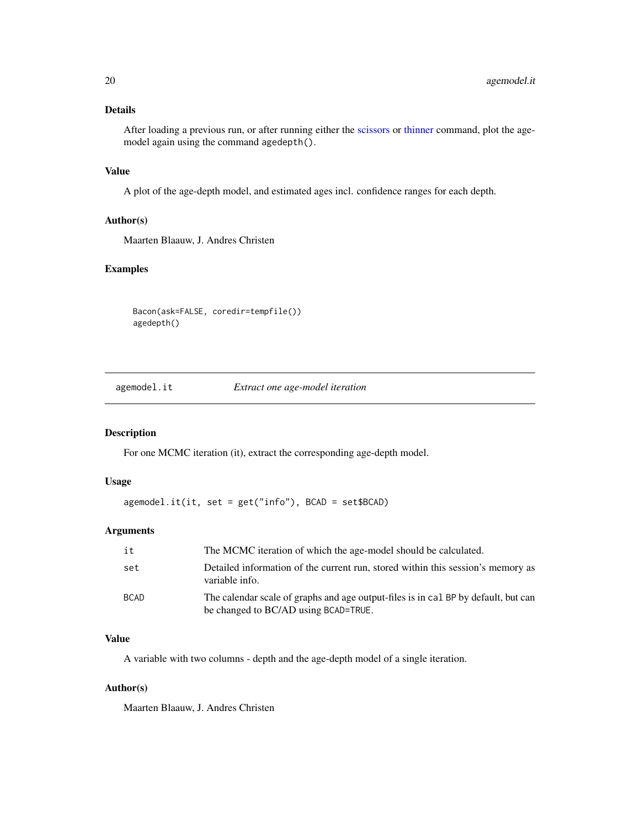# <span id="page-19-0"></span>Details

After loading a previous run, or after running either the [scissors](#page-49-1) or [thinner](#page-50-1) command, plot the agemodel again using the command agedepth().

# Value

A plot of the age-depth model, and estimated ages incl. confidence ranges for each depth.

#### Author(s)

Maarten Blaauw, J. Andres Christen

# Examples

Bacon(ask=FALSE, coredir=tempfile()) agedepth()

agemodel.it *Extract one age-model iteration*

#### Description

For one MCMC iteration (it), extract the corresponding age-depth model.

#### Usage

```
agemodel.it(it, set = get("info"), BCAD = set$BCAD)
```
#### Arguments

| it          | The MCMC iteration of which the age-model should be calculated.                                                            |
|-------------|----------------------------------------------------------------------------------------------------------------------------|
| set         | Detailed information of the current run, stored within this session's memory as<br>variable info.                          |
| <b>BCAD</b> | The calendar scale of graphs and age output-files is in cal BP by default, but can<br>be changed to BC/AD using BCAD=TRUE. |

# Value

A variable with two columns - depth and the age-depth model of a single iteration.

# Author(s)

Maarten Blaauw, J. Andres Christen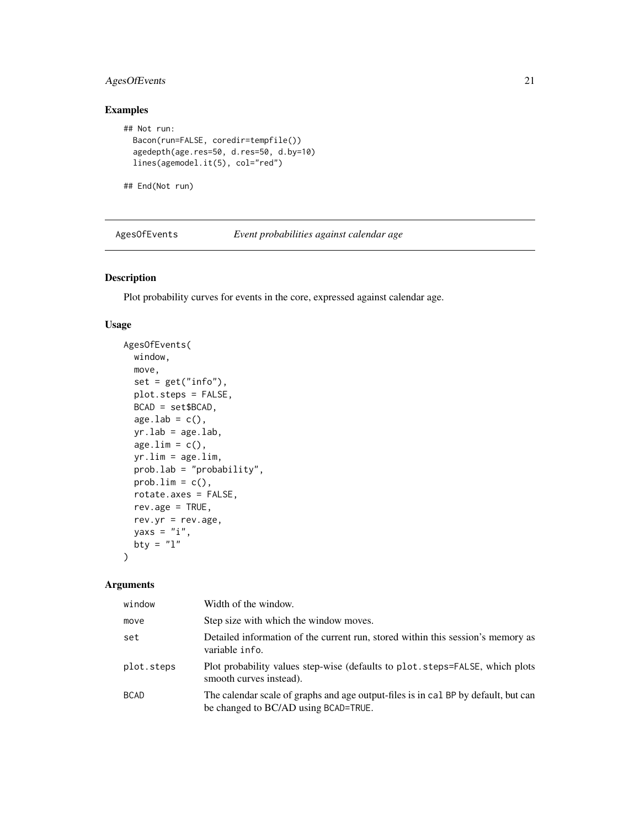# <span id="page-20-0"></span>AgesOfEvents 21

# Examples

```
## Not run:
  Bacon(run=FALSE, coredir=tempfile())
  agedepth(age.res=50, d.res=50, d.by=10)
  lines(agemodel.it(5), col="red")
```
## End(Not run)

AgesOfEvents *Event probabilities against calendar age*

# Description

Plot probability curves for events in the core, expressed against calendar age.

#### Usage

```
AgesOfEvents(
 window,
 move,
 set = get("info"),plot.steps = FALSE,
 BCAD = set$BCAD,
 age. lab = c(),
 yr.lab = age.lab,
 age.lim = c(),
 yr.lim = age.lim,
 prob.lab = "probability",
 probu = c(),
 rotate.axes = FALSE,
 rev.age = TRUE,
 rev.yr = rev.age,
 yaxs = "i",bty = "1")
```

| window      | Width of the window.                                                                                                       |
|-------------|----------------------------------------------------------------------------------------------------------------------------|
| move        | Step size with which the window moves.                                                                                     |
| set         | Detailed information of the current run, stored within this session's memory as<br>variable info.                          |
| plot.steps  | Plot probability values step-wise (defaults to plot. steps=FALSE, which plots<br>smooth curves instead).                   |
| <b>BCAD</b> | The calendar scale of graphs and age output-files is in cal BP by default, but can<br>be changed to BC/AD using BCAD=TRUE. |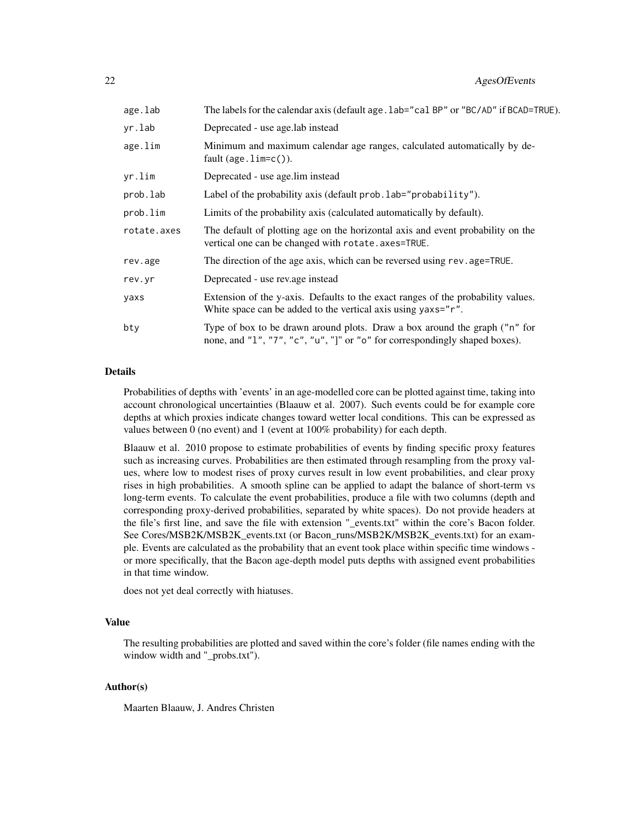| age.lab     | The labels for the calendar axis (default age. lab="cal BP" or "BC/AD" if BCAD=TRUE).                                                                     |
|-------------|-----------------------------------------------------------------------------------------------------------------------------------------------------------|
| yr.lab      | Deprecated - use age. lab instead                                                                                                                         |
| age.lim     | Minimum and maximum calendar age ranges, calculated automatically by de-<br>fault $(\text{age.lim=c}()).$                                                 |
| yr.lim      | Deprecated - use age.lim instead                                                                                                                          |
| prob.lab    | Label of the probability axis (default prob.lab="probability").                                                                                           |
| prob.lim    | Limits of the probability axis (calculated automatically by default).                                                                                     |
| rotate.axes | The default of plotting age on the horizontal axis and event probability on the<br>vertical one can be changed with rotate. axes=TRUE.                    |
| rev.age     | The direction of the age axis, which can be reversed using rev. age=TRUE.                                                                                 |
| rev.yr      | Deprecated - use rev.age instead                                                                                                                          |
| yaxs        | Extension of the y-axis. Defaults to the exact ranges of the probability values.<br>White space can be added to the vertical axis using yaxs="r".         |
| bty         | Type of box to be drawn around plots. Draw a box around the graph ("n" for<br>none, and "1", "7", "c", "u", "]" or "o" for correspondingly shaped boxes). |

#### Details

Probabilities of depths with 'events' in an age-modelled core can be plotted against time, taking into account chronological uncertainties (Blaauw et al. 2007). Such events could be for example core depths at which proxies indicate changes toward wetter local conditions. This can be expressed as values between 0 (no event) and 1 (event at 100% probability) for each depth.

Blaauw et al. 2010 propose to estimate probabilities of events by finding specific proxy features such as increasing curves. Probabilities are then estimated through resampling from the proxy values, where low to modest rises of proxy curves result in low event probabilities, and clear proxy rises in high probabilities. A smooth spline can be applied to adapt the balance of short-term vs long-term events. To calculate the event probabilities, produce a file with two columns (depth and corresponding proxy-derived probabilities, separated by white spaces). Do not provide headers at the file's first line, and save the file with extension "\_events.txt" within the core's Bacon folder. See Cores/MSB2K/MSB2K\_events.txt (or Bacon\_runs/MSB2K/MSB2K\_events.txt) for an example. Events are calculated as the probability that an event took place within specific time windows or more specifically, that the Bacon age-depth model puts depths with assigned event probabilities in that time window.

does not yet deal correctly with hiatuses.

# Value

The resulting probabilities are plotted and saved within the core's folder (file names ending with the window width and "\_probs.txt").

# Author(s)

Maarten Blaauw, J. Andres Christen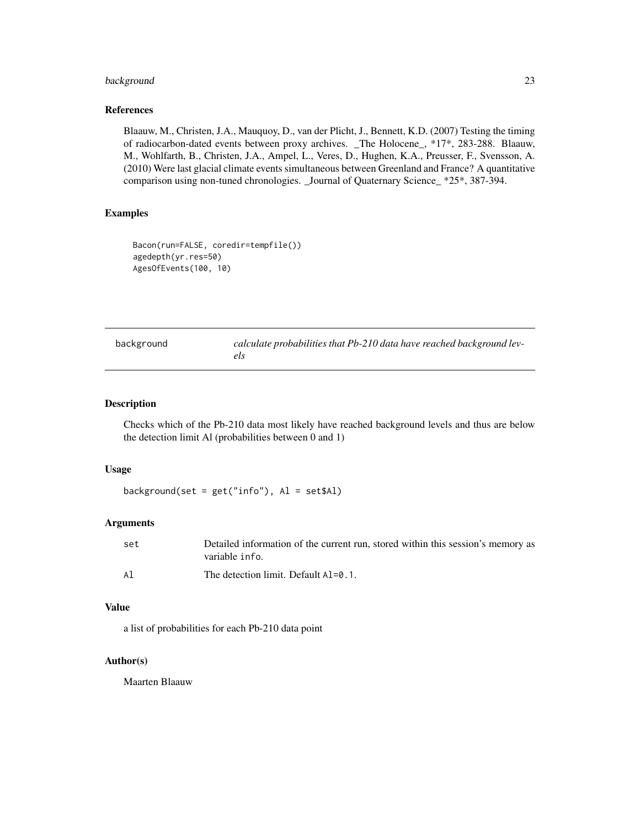# <span id="page-22-0"></span>background 23

# References

Blaauw, M., Christen, J.A., Mauquoy, D., van der Plicht, J., Bennett, K.D. (2007) Testing the timing of radiocarbon-dated events between proxy archives. \_The Holocene\_, \*17\*, 283-288. Blaauw, M., Wohlfarth, B., Christen, J.A., Ampel, L., Veres, D., Hughen, K.A., Preusser, F., Svensson, A. (2010) Were last glacial climate events simultaneous between Greenland and France? A quantitative comparison using non-tuned chronologies. \_Journal of Quaternary Science\_ \*25\*, 387-394.

# Examples

```
Bacon(run=FALSE, coredir=tempfile())
agedepth(yr.res=50)
AgesOfEvents(100, 10)
```

| background | calculate probabilities that Pb-210 data have reached background lev- |
|------------|-----------------------------------------------------------------------|
|            | els                                                                   |

# Description

Checks which of the Pb-210 data most likely have reached background levels and thus are below the detection limit Al (probabilities between 0 and 1)

#### Usage

background(set =  $get("info")$ , Al =  $set$AI)$ 

#### Arguments

| set | Detailed information of the current run, stored within this session's memory as<br>variable info. |
|-----|---------------------------------------------------------------------------------------------------|
| Al  | The detection limit. Default Al=0.1.                                                              |

#### Value

a list of probabilities for each Pb-210 data point

# Author(s)

Maarten Blaauw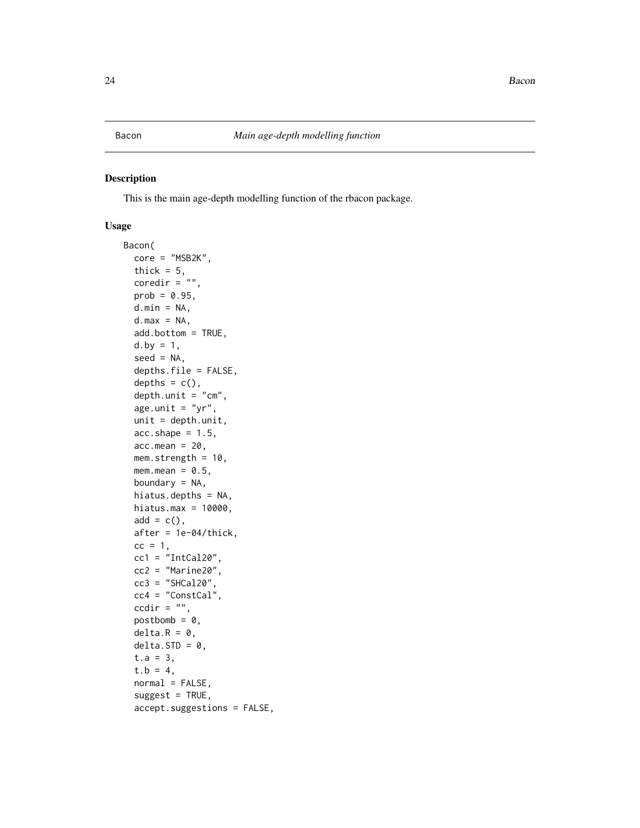# <span id="page-23-1"></span><span id="page-23-0"></span>Description

This is the main age-depth modelling function of the rbacon package.

#### Usage

```
Bacon(
  core = "MSB2K",
  thick = 5,
  coredir = ",
  prob = 0.95,d.min = NA,d.max = NA,
  add.bottom = TRUE,
  d.by = 1,
  seed = NA,
  depths.file = FALSE,
  depths = c(),
  depth.unit = "cm",
  age.unit = "yr",unit = depth.unit,acc.shape = 1.5,
  acc_mean = 20,mem.strength = 10,
  mem.mean = 0.5,
  boundary = NA,
  hiatus.depths = NA,
  hiatus.max = 10000,
  add = c(),
  after = 1e-04/thick,
  cc = 1,
  cc1 = "IntCal20",cc2 = "Marine20",cc3 = "SHCal20",cc4 = "ConstCal",ccdir = ",
  post bomb = 0,
  delta.R = 0,
  delta.STD = 0,
  t.a = 3,t.b = 4,
  normal = FALSE,suggest = TRUE,accept.suggestions = FALSE,
```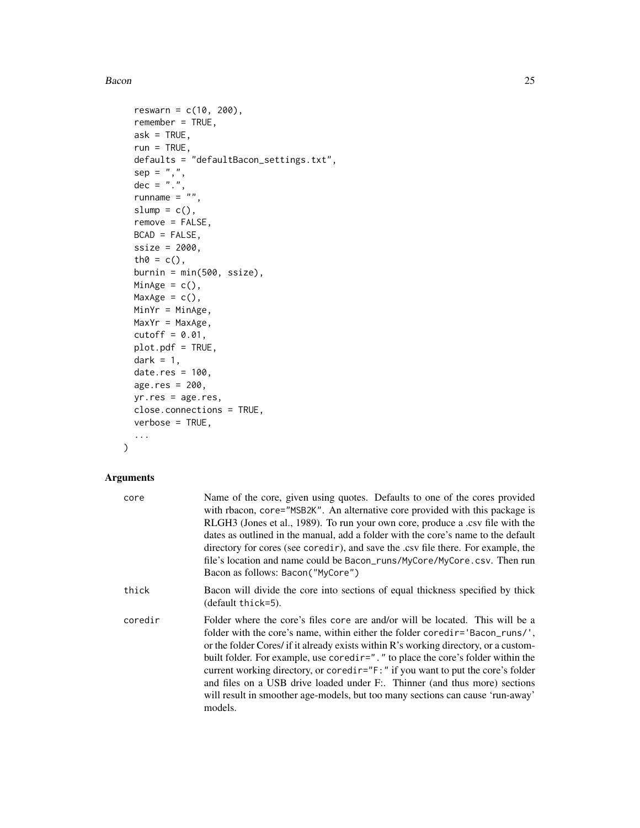#### Bacon 25

```
reswarn = c(10, 200),
  remember = TRUE,
 ask = TRUE,run = TRUE,
  defaults = "defaultBacon_settings.txt",
  sep = ","dec = "."runname = ",
  slump = c(),
  remove = FALSE,BCAD = FALSE,ssize = 2000,
  th0 = c(),
 burnin = min(500, ssize),
 MinAge = c(),
 MaxAge = c(),
 MinYr = MinAge,
 MaxYr = MaxAge,
 cutoff = 0.01,plot.pdf = TRUE,
 dark = 1,date.res = 100,
 age.res = 200,
 yr.res = age.res,
 close.connections = TRUE,
 verbose = TRUE,
  ...
\mathcal{L}
```

| core    | Name of the core, given using quotes. Defaults to one of the cores provided<br>with rbacon, core="MSB2K". An alternative core provided with this package is<br>RLGH3 (Jones et al., 1989). To run your own core, produce a .csv file with the<br>dates as outlined in the manual, add a folder with the core's name to the default<br>directory for cores (see coredir), and save the .csv file there. For example, the<br>file's location and name could be Bacon_runs/MyCore/MyCore.csv. Then run<br>Bacon as follows: Bacon("MyCore")                                                                   |
|---------|------------------------------------------------------------------------------------------------------------------------------------------------------------------------------------------------------------------------------------------------------------------------------------------------------------------------------------------------------------------------------------------------------------------------------------------------------------------------------------------------------------------------------------------------------------------------------------------------------------|
| thick   | Bacon will divide the core into sections of equal thickness specified by thick<br>(default thick=5).                                                                                                                                                                                                                                                                                                                                                                                                                                                                                                       |
| coredir | Folder where the core's files core are and/or will be located. This will be a<br>folder with the core's name, within either the folder coredineral Bacon_runs/',<br>or the folder Cores/ if it already exists within R's working directory, or a custom-<br>built folder. For example, use coredir="." to place the core's folder within the<br>current working directory, or coredir="F:" if you want to put the core's folder<br>and files on a USB drive loaded under F:. Thinner (and thus more) sections<br>will result in smoother age-models, but too many sections can cause 'run-away'<br>models. |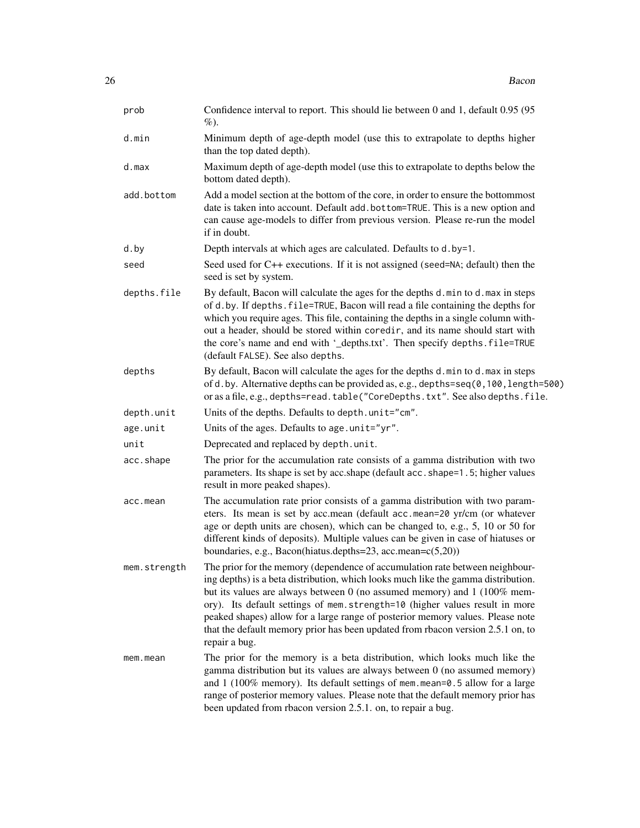| prob         | Confidence interval to report. This should lie between 0 and 1, default 0.95 (95)<br>$\%$ ).                                                                                                                                                                                                                                                                                                                                                                                                                           |
|--------------|------------------------------------------------------------------------------------------------------------------------------------------------------------------------------------------------------------------------------------------------------------------------------------------------------------------------------------------------------------------------------------------------------------------------------------------------------------------------------------------------------------------------|
| d.min        | Minimum depth of age-depth model (use this to extrapolate to depths higher<br>than the top dated depth).                                                                                                                                                                                                                                                                                                                                                                                                               |
| d.max        | Maximum depth of age-depth model (use this to extrapolate to depths below the<br>bottom dated depth).                                                                                                                                                                                                                                                                                                                                                                                                                  |
| add.bottom   | Add a model section at the bottom of the core, in order to ensure the bottommost<br>date is taken into account. Default add.bottom=TRUE. This is a new option and<br>can cause age-models to differ from previous version. Please re-run the model<br>if in doubt.                                                                                                                                                                                                                                                     |
| d.by         | Depth intervals at which ages are calculated. Defaults to d.by=1.                                                                                                                                                                                                                                                                                                                                                                                                                                                      |
| seed         | Seed used for C++ executions. If it is not assigned (seed=NA; default) then the<br>seed is set by system.                                                                                                                                                                                                                                                                                                                                                                                                              |
| depths.file  | By default, Bacon will calculate the ages for the depths d.min to d.max in steps<br>of d.by. If depths. file=TRUE, Bacon will read a file containing the depths for<br>which you require ages. This file, containing the depths in a single column with-<br>out a header, should be stored within coredir, and its name should start with<br>the core's name and end with '_depths.txt'. Then specify depths.file=TRUE<br>(default FALSE). See also depths.                                                            |
| depths       | By default, Bacon will calculate the ages for the depths d.min to d.max in steps<br>of d.by. Alternative depths can be provided as, e.g., depths=seq(0,100, length=500)<br>or as a file, e.g., depths=read.table("CoreDepths.txt". See also depths.file.                                                                                                                                                                                                                                                               |
| depth.unit   | Units of the depths. Defaults to depth.unit="cm".                                                                                                                                                                                                                                                                                                                                                                                                                                                                      |
| age.unit     | Units of the ages. Defaults to age.unit="yr".                                                                                                                                                                                                                                                                                                                                                                                                                                                                          |
| unit         | Deprecated and replaced by depth.unit.                                                                                                                                                                                                                                                                                                                                                                                                                                                                                 |
| acc.shape    | The prior for the accumulation rate consists of a gamma distribution with two<br>parameters. Its shape is set by acc.shape (default acc.shape=1.5; higher values<br>result in more peaked shapes).                                                                                                                                                                                                                                                                                                                     |
| acc.mean     | The accumulation rate prior consists of a gamma distribution with two param-<br>eters. Its mean is set by acc.mean (default acc.mean=20 yr/cm (or whatever<br>age or depth units are chosen), which can be changed to, e.g., 5, 10 or 50 for<br>different kinds of deposits). Multiple values can be given in case of hiatuses or<br>boundaries, e.g., Bacon(hiatus.depths=23, acc.mean=c(5,20))                                                                                                                       |
| mem.strength | The prior for the memory (dependence of accumulation rate between neighbour-<br>ing depths) is a beta distribution, which looks much like the gamma distribution.<br>but its values are always between $0$ (no assumed memory) and $1(100\%$ mem-<br>ory). Its default settings of mem.strength=10 (higher values result in more<br>peaked shapes) allow for a large range of posterior memory values. Please note<br>that the default memory prior has been updated from rbacon version 2.5.1 on, to<br>repair a bug. |
| mem.mean     | The prior for the memory is a beta distribution, which looks much like the<br>gamma distribution but its values are always between 0 (no assumed memory)<br>and $1$ (100% memory). Its default settings of mem. mean=0.5 allow for a large<br>range of posterior memory values. Please note that the default memory prior has<br>been updated from rbacon version 2.5.1. on, to repair a bug.                                                                                                                          |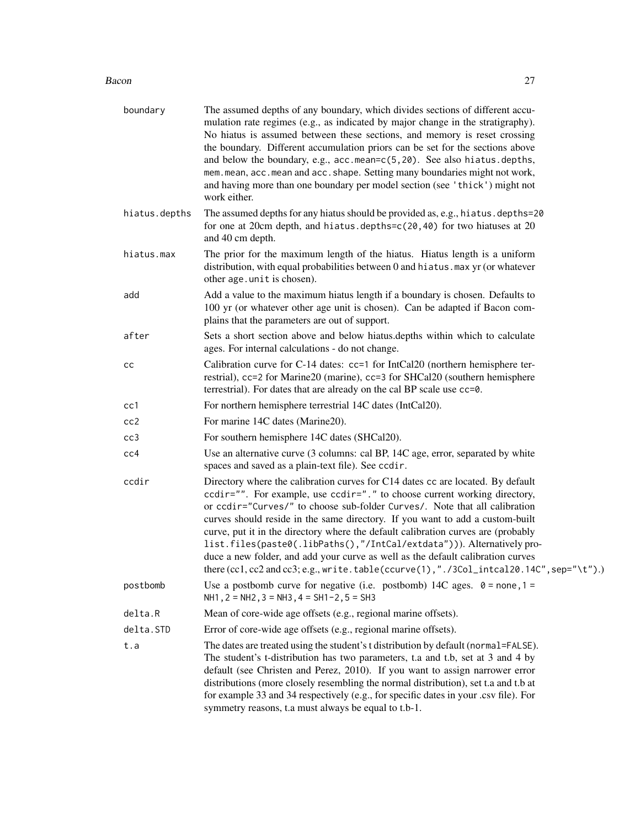#### Bacon 27 and 27 and 28 and 27 and 28 and 28 and 28 and 28 and 28 and 27 and 27 and 27 and 27 and 27 and 27 and 27 and 27 and 27 and 27 and 27 and 27 and 27 and 27 and 27 and 27 and 27 and 27 and 27 and 27 and 27 and 27 and

| boundary      | The assumed depths of any boundary, which divides sections of different accu-<br>mulation rate regimes (e.g., as indicated by major change in the stratigraphy).<br>No hiatus is assumed between these sections, and memory is reset crossing<br>the boundary. Different accumulation priors can be set for the sections above<br>and below the boundary, e.g., acc.mean=c(5,20). See also hiatus.depths,<br>mem.mean, acc.mean and acc.shape. Setting many boundaries might not work,<br>and having more than one boundary per model section (see 'thick') might not<br>work either.                                                                                    |
|---------------|--------------------------------------------------------------------------------------------------------------------------------------------------------------------------------------------------------------------------------------------------------------------------------------------------------------------------------------------------------------------------------------------------------------------------------------------------------------------------------------------------------------------------------------------------------------------------------------------------------------------------------------------------------------------------|
| hiatus.depths | The assumed depths for any hiatus should be provided as, e.g., hiatus. depths=20<br>for one at 20cm depth, and hiatus.depths=c(20,40) for two hiatuses at 20<br>and 40 cm depth.                                                                                                                                                                                                                                                                                                                                                                                                                                                                                         |
| hiatus.max    | The prior for the maximum length of the hiatus. Hiatus length is a uniform<br>distribution, with equal probabilities between 0 and hiatus. max yr (or whatever<br>other age.unit is chosen).                                                                                                                                                                                                                                                                                                                                                                                                                                                                             |
| add           | Add a value to the maximum hiatus length if a boundary is chosen. Defaults to<br>100 yr (or whatever other age unit is chosen). Can be adapted if Bacon com-<br>plains that the parameters are out of support.                                                                                                                                                                                                                                                                                                                                                                                                                                                           |
| after         | Sets a short section above and below hiatus.depths within which to calculate<br>ages. For internal calculations - do not change.                                                                                                                                                                                                                                                                                                                                                                                                                                                                                                                                         |
| cc            | Calibration curve for C-14 dates: cc=1 for IntCal20 (northern hemisphere ter-<br>restrial), cc=2 for Marine20 (marine), cc=3 for SHCal20 (southern hemisphere<br>terrestrial). For dates that are already on the cal BP scale use cc=0.                                                                                                                                                                                                                                                                                                                                                                                                                                  |
| cc1           | For northern hemisphere terrestrial 14C dates (IntCal20).                                                                                                                                                                                                                                                                                                                                                                                                                                                                                                                                                                                                                |
| cc2           | For marine 14C dates (Marine20).                                                                                                                                                                                                                                                                                                                                                                                                                                                                                                                                                                                                                                         |
| cc3           | For southern hemisphere 14C dates (SHCal20).                                                                                                                                                                                                                                                                                                                                                                                                                                                                                                                                                                                                                             |
| cc4           | Use an alternative curve (3 columns: cal BP, 14C age, error, separated by white<br>spaces and saved as a plain-text file). See ccdir.                                                                                                                                                                                                                                                                                                                                                                                                                                                                                                                                    |
| ccdir         | Directory where the calibration curves for C14 dates cc are located. By default<br>ccdir="". For example, use ccdir="." to choose current working directory,<br>or ccdir="Curves/" to choose sub-folder Curves/. Note that all calibration<br>curves should reside in the same directory. If you want to add a custom-built<br>curve, put it in the directory where the default calibration curves are (probably<br>list.files(paste0(.libPaths(),"/IntCal/extdata"))). Alternatively pro-<br>duce a new folder, and add your curve as well as the default calibration curves<br>there (cc1, cc2 and cc3; e.g., write.table(ccurve(1),"./3Col_intcal20.14C", sep="\t").) |
| postbomb      | Use a postbomb curve for negative (i.e. postbomb) 14C ages. $0 = none, 1 =$<br>NH1, $2 = NH2$ , $3 = NH3$ , $4 = SH1-2$ , $5 = SH3$                                                                                                                                                                                                                                                                                                                                                                                                                                                                                                                                      |
| delta.R       | Mean of core-wide age offsets (e.g., regional marine offsets).                                                                                                                                                                                                                                                                                                                                                                                                                                                                                                                                                                                                           |
| delta.STD     | Error of core-wide age offsets (e.g., regional marine offsets).                                                                                                                                                                                                                                                                                                                                                                                                                                                                                                                                                                                                          |
| t.a           | The dates are treated using the student's t distribution by default (normal=FALSE).<br>The student's t-distribution has two parameters, t.a and t.b, set at 3 and 4 by<br>default (see Christen and Perez, 2010). If you want to assign narrower error<br>distributions (more closely resembling the normal distribution), set t.a and t.b at<br>for example 33 and 34 respectively (e.g., for specific dates in your .csv file). For<br>symmetry reasons, t.a must always be equal to t.b-1.                                                                                                                                                                            |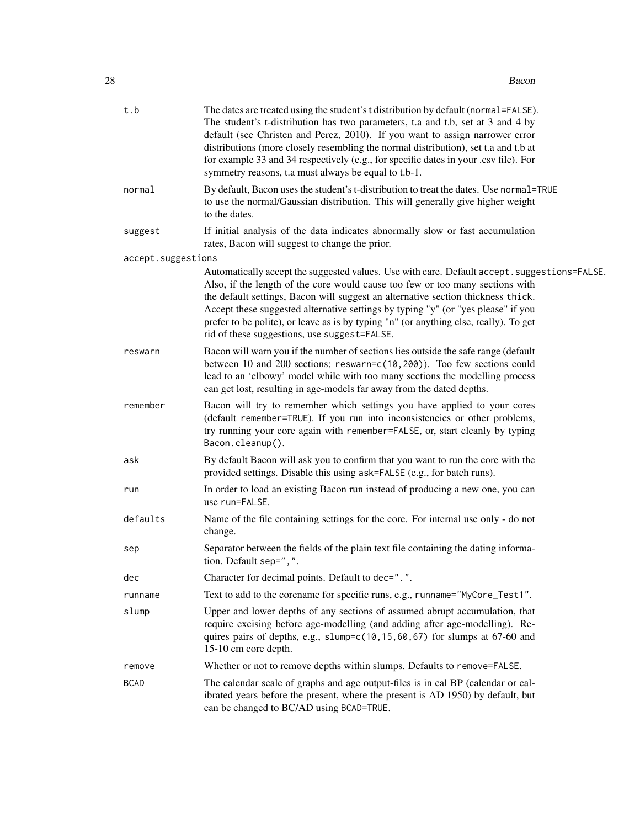| t.b                | The dates are treated using the student's t distribution by default (normal=FALSE).<br>The student's t-distribution has two parameters, t.a and t.b, set at 3 and 4 by<br>default (see Christen and Perez, 2010). If you want to assign narrower error<br>distributions (more closely resembling the normal distribution), set t.a and t.b at<br>for example 33 and 34 respectively (e.g., for specific dates in your .csv file). For<br>symmetry reasons, t.a must always be equal to t.b-1.   |
|--------------------|-------------------------------------------------------------------------------------------------------------------------------------------------------------------------------------------------------------------------------------------------------------------------------------------------------------------------------------------------------------------------------------------------------------------------------------------------------------------------------------------------|
| normal             | By default, Bacon uses the student's t-distribution to treat the dates. Use normal=TRUE<br>to use the normal/Gaussian distribution. This will generally give higher weight<br>to the dates.                                                                                                                                                                                                                                                                                                     |
| suggest            | If initial analysis of the data indicates abnormally slow or fast accumulation<br>rates, Bacon will suggest to change the prior.                                                                                                                                                                                                                                                                                                                                                                |
| accept.suggestions |                                                                                                                                                                                                                                                                                                                                                                                                                                                                                                 |
|                    | Automatically accept the suggested values. Use with care. Default accept. suggestions=FALSE.<br>Also, if the length of the core would cause too few or too many sections with<br>the default settings, Bacon will suggest an alternative section thickness thick.<br>Accept these suggested alternative settings by typing "y" (or "yes please" if you<br>prefer to be polite), or leave as is by typing "n" (or anything else, really). To get<br>rid of these suggestions, use suggest=FALSE. |
| reswarn            | Bacon will warn you if the number of sections lies outside the safe range (default<br>between 10 and 200 sections; reswarn=c(10,200)). Too few sections could<br>lead to an 'elbowy' model while with too many sections the modelling process<br>can get lost, resulting in age-models far away from the dated depths.                                                                                                                                                                          |
| remember           | Bacon will try to remember which settings you have applied to your cores<br>(default remember=TRUE). If you run into inconsistencies or other problems,<br>try running your core again with remember=FALSE, or, start cleanly by typing<br>Bacon.cleanup().                                                                                                                                                                                                                                     |
| ask                | By default Bacon will ask you to confirm that you want to run the core with the<br>provided settings. Disable this using ask=FALSE (e.g., for batch runs).                                                                                                                                                                                                                                                                                                                                      |
| run                | In order to load an existing Bacon run instead of producing a new one, you can<br>use run=FALSE.                                                                                                                                                                                                                                                                                                                                                                                                |
| defaults           | Name of the file containing settings for the core. For internal use only - do not<br>change.                                                                                                                                                                                                                                                                                                                                                                                                    |
| sep                | Separator between the fields of the plain text file containing the dating informa-<br>tion. Default sep=",".                                                                                                                                                                                                                                                                                                                                                                                    |
| dec                | Character for decimal points. Default to dec=".".                                                                                                                                                                                                                                                                                                                                                                                                                                               |
| runname            | Text to add to the corename for specific runs, e.g., runname="MyCore_Test1".                                                                                                                                                                                                                                                                                                                                                                                                                    |
| slump              | Upper and lower depths of any sections of assumed abrupt accumulation, that<br>require excising before age-modelling (and adding after age-modelling). Re-<br>quires pairs of depths, e.g., slump=c(10,15,60,67) for slumps at 67-60 and<br>15-10 cm core depth.                                                                                                                                                                                                                                |
| remove             | Whether or not to remove depths within slumps. Defaults to remove=FALSE.                                                                                                                                                                                                                                                                                                                                                                                                                        |
| <b>BCAD</b>        | The calendar scale of graphs and age output-files is in cal BP (calendar or cal-<br>ibrated years before the present, where the present is AD 1950) by default, but<br>can be changed to BC/AD using BCAD=TRUE.                                                                                                                                                                                                                                                                                 |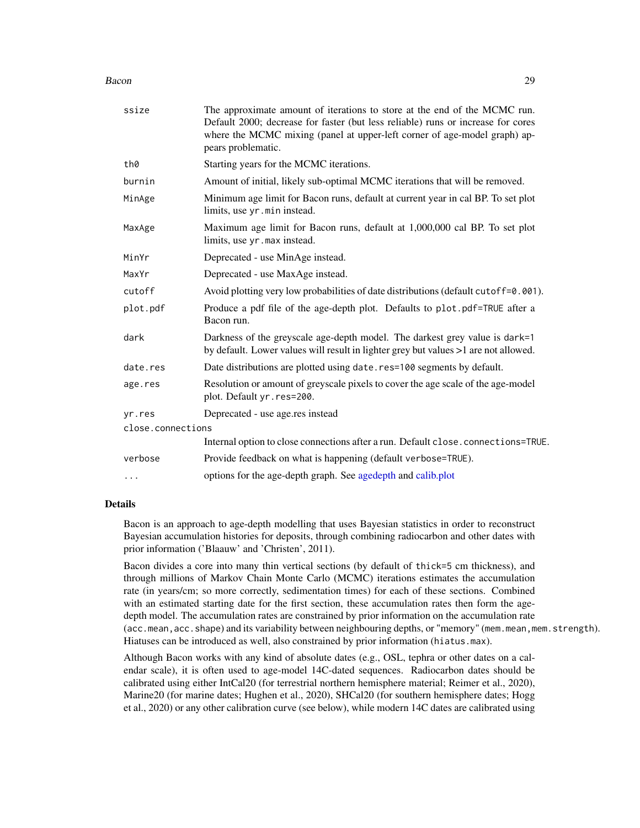#### <span id="page-28-0"></span>Bacon 29

| ssize             | The approximate amount of iterations to store at the end of the MCMC run.<br>Default 2000; decrease for faster (but less reliable) runs or increase for cores<br>where the MCMC mixing (panel at upper-left corner of age-model graph) ap-<br>pears problematic. |
|-------------------|------------------------------------------------------------------------------------------------------------------------------------------------------------------------------------------------------------------------------------------------------------------|
| th0               | Starting years for the MCMC iterations.                                                                                                                                                                                                                          |
| burnin            | Amount of initial, likely sub-optimal MCMC iterations that will be removed.                                                                                                                                                                                      |
| MinAge            | Minimum age limit for Bacon runs, default at current year in cal BP. To set plot<br>limits, use yr . min instead.                                                                                                                                                |
| MaxAge            | Maximum age limit for Bacon runs, default at 1,000,000 cal BP. To set plot<br>limits, use yr . max instead.                                                                                                                                                      |
| MinYr             | Deprecated - use MinAge instead.                                                                                                                                                                                                                                 |
| MaxYr             | Deprecated - use MaxAge instead.                                                                                                                                                                                                                                 |
| cutoff            | Avoid plotting very low probabilities of date distributions (default cutoff=0.001).                                                                                                                                                                              |
| plot.pdf          | Produce a pdf file of the age-depth plot. Defaults to plot.pdf=TRUE after a<br>Bacon run.                                                                                                                                                                        |
| dark              | Darkness of the greyscale age-depth model. The darkest grey value is dark=1<br>by default. Lower values will result in lighter grey but values >1 are not allowed.                                                                                               |
| date.res          | Date distributions are plotted using date.res=100 segments by default.                                                                                                                                                                                           |
| age.res           | Resolution or amount of greyscale pixels to cover the age scale of the age-model<br>plot. Default yr.res=200.                                                                                                                                                    |
| yr.res            | Deprecated - use age.res instead                                                                                                                                                                                                                                 |
| close.connections |                                                                                                                                                                                                                                                                  |
|                   | Internal option to close connections after a run. Default close.connections=TRUE.                                                                                                                                                                                |
| verbose           | Provide feedback on what is happening (default verbose=TRUE).                                                                                                                                                                                                    |
| $\cdots$          | options for the age-depth graph. See agedepth and calib.plot                                                                                                                                                                                                     |
|                   |                                                                                                                                                                                                                                                                  |

#### Details

Bacon is an approach to age-depth modelling that uses Bayesian statistics in order to reconstruct Bayesian accumulation histories for deposits, through combining radiocarbon and other dates with prior information ('Blaauw' and 'Christen', 2011).

Bacon divides a core into many thin vertical sections (by default of thick=5 cm thickness), and through millions of Markov Chain Monte Carlo (MCMC) iterations estimates the accumulation rate (in years/cm; so more correctly, sedimentation times) for each of these sections. Combined with an estimated starting date for the first section, these accumulation rates then form the agedepth model. The accumulation rates are constrained by prior information on the accumulation rate (acc.mean,acc.shape) and its variability between neighbouring depths, or "memory" (mem.mean,mem.strength). Hiatuses can be introduced as well, also constrained by prior information (hiatus.max).

Although Bacon works with any kind of absolute dates (e.g., OSL, tephra or other dates on a calendar scale), it is often used to age-model 14C-dated sequences. Radiocarbon dates should be calibrated using either IntCal20 (for terrestrial northern hemisphere material; Reimer et al., 2020), Marine20 (for marine dates; Hughen et al., 2020), SHCal20 (for southern hemisphere dates; Hogg et al., 2020) or any other calibration curve (see below), while modern 14C dates are calibrated using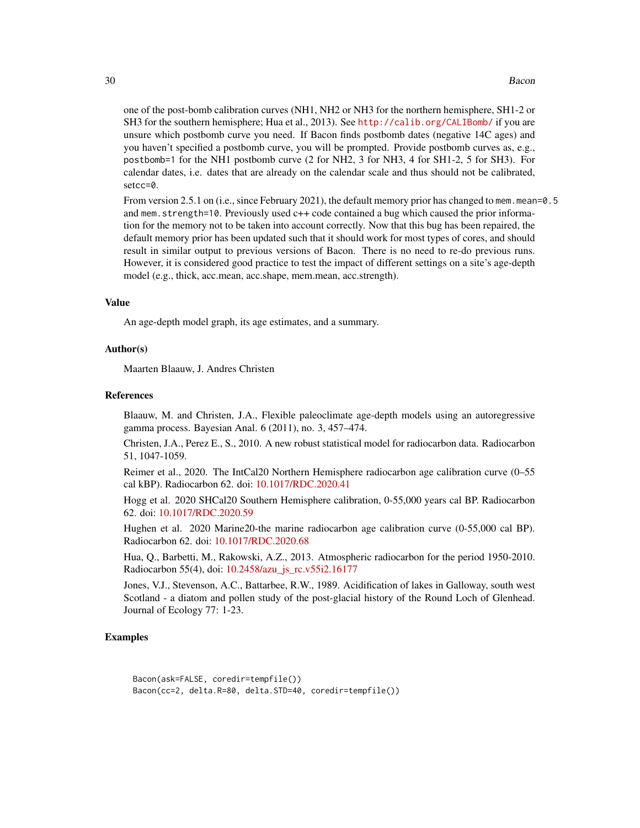one of the post-bomb calibration curves (NH1, NH2 or NH3 for the northern hemisphere, SH1-2 or SH3 for the southern hemisphere; Hua et al., 2013). See <http://calib.org/CALIBomb/> if you are unsure which postbomb curve you need. If Bacon finds postbomb dates (negative 14C ages) and you haven't specified a postbomb curve, you will be prompted. Provide postbomb curves as, e.g., postbomb=1 for the NH1 postbomb curve (2 for NH2, 3 for NH3, 4 for SH1-2, 5 for SH3). For calendar dates, i.e. dates that are already on the calendar scale and thus should not be calibrated, setcc=0.

From version 2.5.1 on (i.e., since February 2021), the default memory prior has changed to mem. mean=0.5 and mem. strength=10. Previously used c++ code contained a bug which caused the prior information for the memory not to be taken into account correctly. Now that this bug has been repaired, the default memory prior has been updated such that it should work for most types of cores, and should result in similar output to previous versions of Bacon. There is no need to re-do previous runs. However, it is considered good practice to test the impact of different settings on a site's age-depth model (e.g., thick, acc.mean, acc.shape, mem.mean, acc.strength).

#### Value

An age-depth model graph, its age estimates, and a summary.

### Author(s)

Maarten Blaauw, J. Andres Christen

# References

Blaauw, M. and Christen, J.A., Flexible paleoclimate age-depth models using an autoregressive gamma process. Bayesian Anal. 6 (2011), no. 3, 457–474.

Christen, J.A., Perez E., S., 2010. A new robust statistical model for radiocarbon data. Radiocarbon 51, 1047-1059.

Reimer et al., 2020. The IntCal20 Northern Hemisphere radiocarbon age calibration curve (0–55 cal kBP). Radiocarbon 62. doi: [10.1017/RDC.2020.41](https://doi.org/10.1017/RDC.2020.41)

Hogg et al. 2020 SHCal20 Southern Hemisphere calibration, 0-55,000 years cal BP. Radiocarbon 62. doi: [10.1017/RDC.2020.59](https://doi.org/10.1017/RDC.2020.59)

Hughen et al. 2020 Marine20-the marine radiocarbon age calibration curve (0-55,000 cal BP). Radiocarbon 62. doi: [10.1017/RDC.2020.68](https://doi.org/10.1017/RDC.2020.68)

Hua, Q., Barbetti, M., Rakowski, A.Z., 2013. Atmospheric radiocarbon for the period 1950-2010. Radiocarbon 55(4), doi: [10.2458/azu\\_js\\_rc.v55i2.16177](https://doi.org/10.2458/azu_js_rc.v55i2.16177)

Jones, V.J., Stevenson, A.C., Battarbee, R.W., 1989. Acidification of lakes in Galloway, south west Scotland - a diatom and pollen study of the post-glacial history of the Round Loch of Glenhead. Journal of Ecology 77: 1-23.

#### Examples

Bacon(ask=FALSE, coredir=tempfile()) Bacon(cc=2, delta.R=80, delta.STD=40, coredir=tempfile())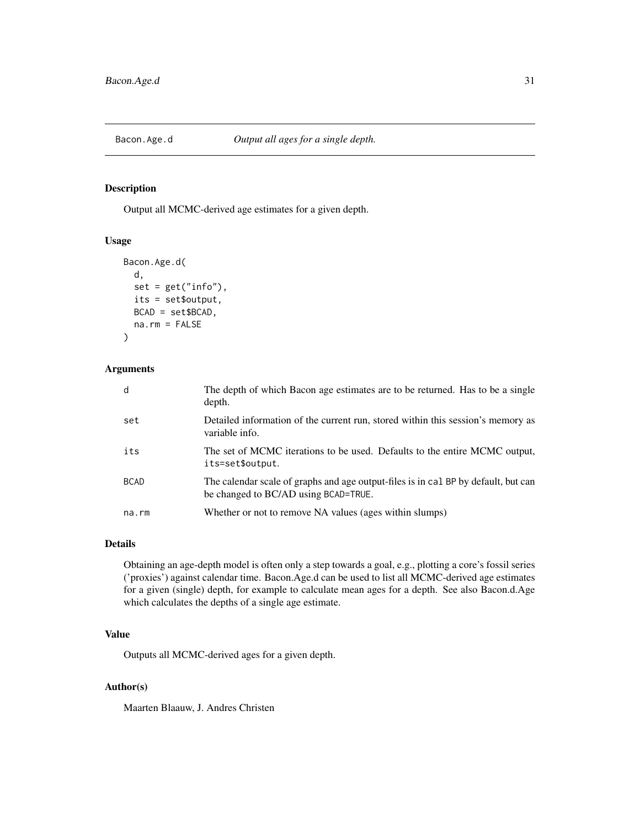<span id="page-30-0"></span>

# Description

Output all MCMC-derived age estimates for a given depth.

# Usage

```
Bacon.Age.d(
  d,
  set = get("info"),
  its = set$output,
 BCAD = set$BCAD,na.rm = FALSE
)
```
# Arguments

| d           | The depth of which Bacon age estimates are to be returned. Has to be a single<br>depth.                                    |
|-------------|----------------------------------------------------------------------------------------------------------------------------|
| set         | Detailed information of the current run, stored within this session's memory as<br>variable info.                          |
| its         | The set of MCMC iterations to be used. Defaults to the entire MCMC output,<br>its=set\$output.                             |
| <b>BCAD</b> | The calendar scale of graphs and age output-files is in cal BP by default, but can<br>be changed to BC/AD using BCAD=TRUE. |
| na.rm       | Whether or not to remove NA values (ages within slumps)                                                                    |

#### Details

Obtaining an age-depth model is often only a step towards a goal, e.g., plotting a core's fossil series ('proxies') against calendar time. Bacon.Age.d can be used to list all MCMC-derived age estimates for a given (single) depth, for example to calculate mean ages for a depth. See also Bacon.d.Age which calculates the depths of a single age estimate.

# Value

Outputs all MCMC-derived ages for a given depth.

#### Author(s)

Maarten Blaauw, J. Andres Christen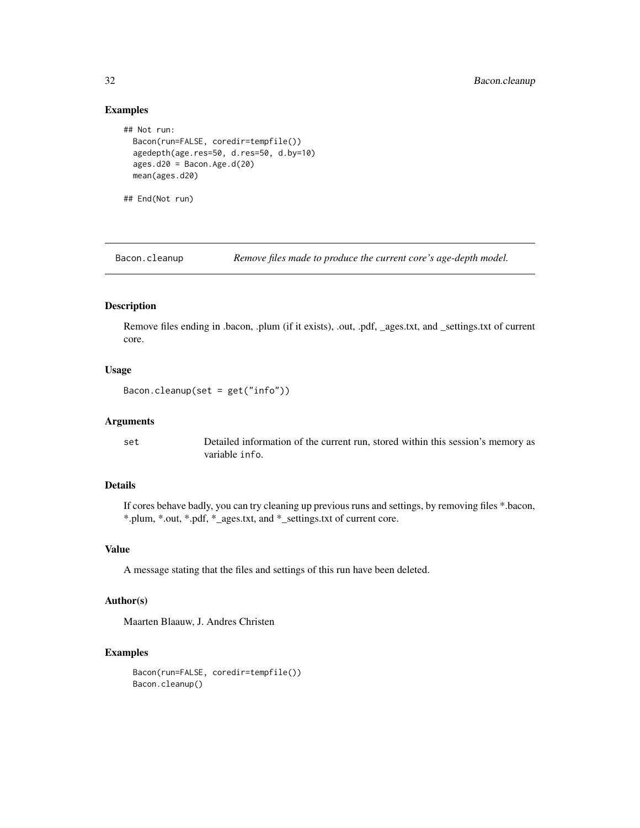#### Examples

```
## Not run:
 Bacon(run=FALSE, coredir=tempfile())
 agedepth(age.res=50, d.res=50, d.by=10)
 ages.d20 = Bacon.Age.d(20)mean(ages.d20)
```
## End(Not run)

Bacon.cleanup *Remove files made to produce the current core's age-depth model.*

# Description

Remove files ending in .bacon, .plum (if it exists), .out, .pdf, \_ages.txt, and \_settings.txt of current core.

#### Usage

```
Bacon.cleanup(set = get("info"))
```
#### Arguments

set Detailed information of the current run, stored within this session's memory as variable info.

# Details

If cores behave badly, you can try cleaning up previous runs and settings, by removing files \*.bacon, \*.plum, \*.out, \*.pdf, \*\_ages.txt, and \*\_settings.txt of current core.

#### Value

A message stating that the files and settings of this run have been deleted.

#### Author(s)

Maarten Blaauw, J. Andres Christen

#### Examples

```
Bacon(run=FALSE, coredir=tempfile())
Bacon.cleanup()
```
<span id="page-31-0"></span>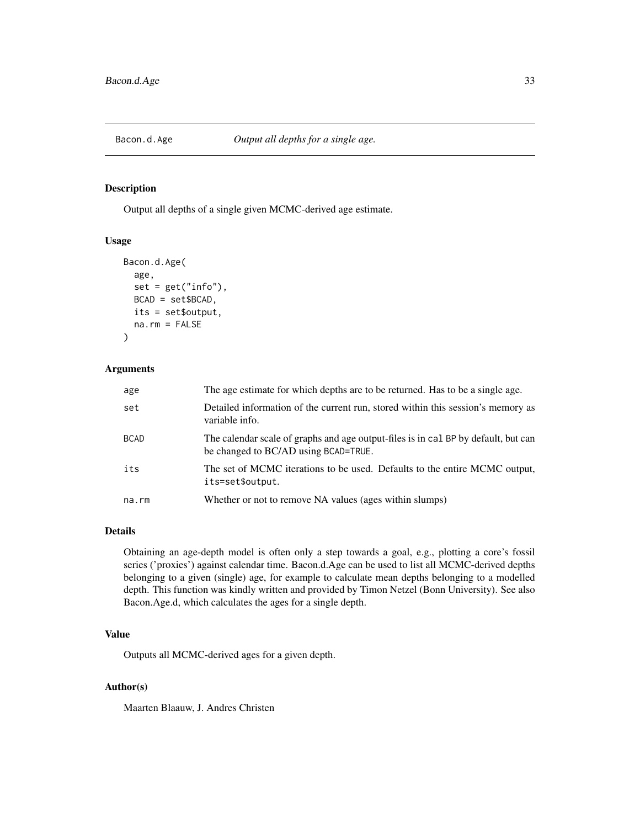<span id="page-32-0"></span>

# Description

Output all depths of a single given MCMC-derived age estimate.

# Usage

```
Bacon.d.Age(
  age,
  set = get("info"),BCAD = set$BCAD,
  its = set$output,
  na.rm = FALSE
)
```
### Arguments

| age         | The age estimate for which depths are to be returned. Has to be a single age.                                              |
|-------------|----------------------------------------------------------------------------------------------------------------------------|
| set         | Detailed information of the current run, stored within this session's memory as<br>variable info.                          |
| <b>BCAD</b> | The calendar scale of graphs and age output-files is in cal BP by default, but can<br>be changed to BC/AD using BCAD=TRUE. |
| its         | The set of MCMC iterations to be used. Defaults to the entire MCMC output,<br>its=set\$output.                             |
| na.rm       | Whether or not to remove NA values (ages within slumps)                                                                    |

#### Details

Obtaining an age-depth model is often only a step towards a goal, e.g., plotting a core's fossil series ('proxies') against calendar time. Bacon.d.Age can be used to list all MCMC-derived depths belonging to a given (single) age, for example to calculate mean depths belonging to a modelled depth. This function was kindly written and provided by Timon Netzel (Bonn University). See also Bacon.Age.d, which calculates the ages for a single depth.

# Value

Outputs all MCMC-derived ages for a given depth.

#### Author(s)

Maarten Blaauw, J. Andres Christen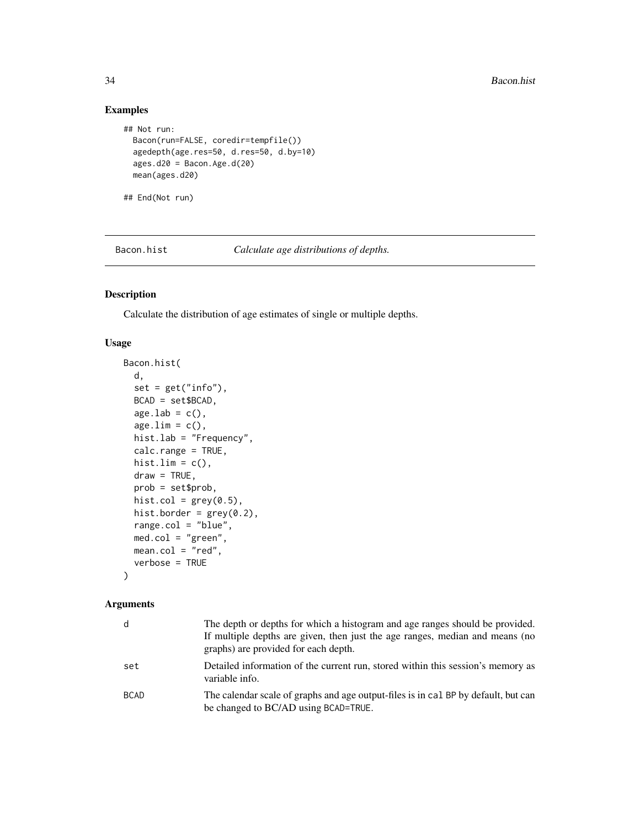# Examples

```
## Not run:
 Bacon(run=FALSE, coredir=tempfile())
 agedepth(age.res=50, d.res=50, d.by=10)
 ages.d20 = Bacon.Age.d(20)mean(ages.d20)
## End(Not run)
```
Bacon.hist *Calculate age distributions of depths.*

# Description

Calculate the distribution of age estimates of single or multiple depths.

#### Usage

```
Bacon.hist(
  d,
  set = get("info"),BCAD = set$BCAD,
  age.lab = c(),
  age.lim = c(),
  hist.lab = "Frequency",
  calc.range = TRUE,
  hist.lim = c(),
  draw = TRUE,
  prob = set$prob,
  hist.col = grey(0.5),
  hist.border = grey(0.2),
  range.col = "blue",
  med.col = "green",mean.col = "red",verbose = TRUE
)
```

| d           | The depth or depths for which a histogram and age ranges should be provided.<br>If multiple depths are given, then just the age ranges, median and means (no<br>graphs) are provided for each depth. |
|-------------|------------------------------------------------------------------------------------------------------------------------------------------------------------------------------------------------------|
| set         | Detailed information of the current run, stored within this session's memory as<br>variable info.                                                                                                    |
| <b>BCAD</b> | The calendar scale of graphs and age output-files is in cal BP by default, but can<br>be changed to BC/AD using BCAD=TRUE.                                                                           |

<span id="page-33-0"></span>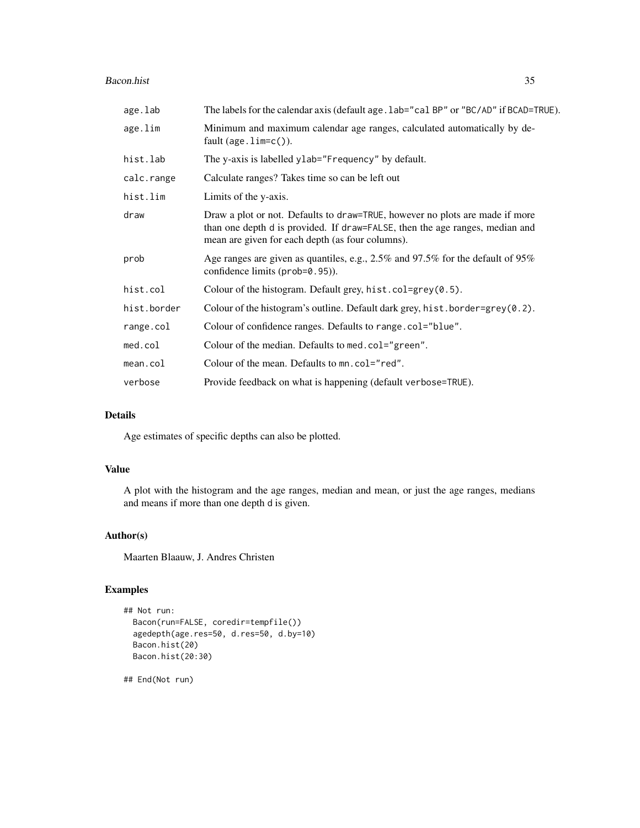#### Bacon.hist 35

| age.lab     | The labels for the calendar axis (default age . lab="cal BP" or "BC/AD" if BCAD=TRUE).                                                                                                                           |
|-------------|------------------------------------------------------------------------------------------------------------------------------------------------------------------------------------------------------------------|
| age.lim     | Minimum and maximum calendar age ranges, calculated automatically by de-<br>fault $(\text{age.lim=c}()).$                                                                                                        |
| hist.lab    | The y-axis is labelled ylab="Frequency" by default.                                                                                                                                                              |
| calc.range  | Calculate ranges? Takes time so can be left out                                                                                                                                                                  |
| hist.lim    | Limits of the y-axis.                                                                                                                                                                                            |
| draw        | Draw a plot or not. Defaults to draw=TRUE, however no plots are made if more<br>than one depth d is provided. If draw=FALSE, then the age ranges, median and<br>mean are given for each depth (as four columns). |
| prob        | Age ranges are given as quantiles, e.g., 2.5% and 97.5% for the default of 95%<br>confidence limits (prob=0.95)).                                                                                                |
| hist.col    | Colour of the histogram. Default grey, hist.col=grey $(0.5)$ .                                                                                                                                                   |
| hist.border | Colour of the histogram's outline. Default dark grey, hist.border=grey(0.2).                                                                                                                                     |
| range.col   | Colour of confidence ranges. Defaults to range.col="blue".                                                                                                                                                       |
| med.col     | Colour of the median. Defaults to med.col="green".                                                                                                                                                               |
| mean.col    | Colour of the mean. Defaults to mn.col="red".                                                                                                                                                                    |
| verbose     | Provide feedback on what is happening (default verbose=TRUE).                                                                                                                                                    |

# Details

Age estimates of specific depths can also be plotted.

# Value

A plot with the histogram and the age ranges, median and mean, or just the age ranges, medians and means if more than one depth d is given.

#### Author(s)

Maarten Blaauw, J. Andres Christen

# Examples

```
## Not run:
 Bacon(run=FALSE, coredir=tempfile())
 agedepth(age.res=50, d.res=50, d.by=10)
 Bacon.hist(20)
 Bacon.hist(20:30)
```
## End(Not run)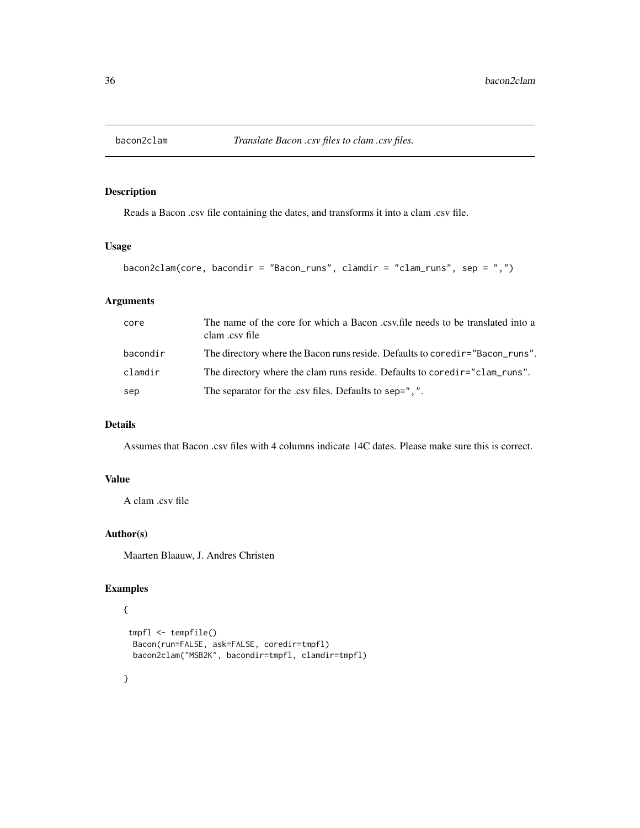<span id="page-35-0"></span>

#### Description

Reads a Bacon .csv file containing the dates, and transforms it into a clam .csv file.

#### Usage

```
bacon2clam(core, bacondir = "Bacon_runs", clamdir = "clam_runs", sep = ",")
```
# Arguments

| core     | The name of the core for which a Bacon .csv.file needs to be translated into a<br>clam .csv file |
|----------|--------------------------------------------------------------------------------------------------|
| bacondir | The directory where the Bacon runs reside. Defaults to cored in $\epsilon$ "Bacon runs".         |
| clamdir  | The directory where the clam runs reside. Defaults to coredir="clam_runs".                       |
| sep      | The separator for the .csv files. Defaults to sep=", ".                                          |

# Details

Assumes that Bacon .csv files with 4 columns indicate 14C dates. Please make sure this is correct.

# Value

A clam .csv file

# Author(s)

Maarten Blaauw, J. Andres Christen

# Examples {

```
tmpfl <- tempfile()
Bacon(run=FALSE, ask=FALSE, coredir=tmpfl)
 bacon2clam("MSB2K", bacondir=tmpfl, clamdir=tmpfl)
```
}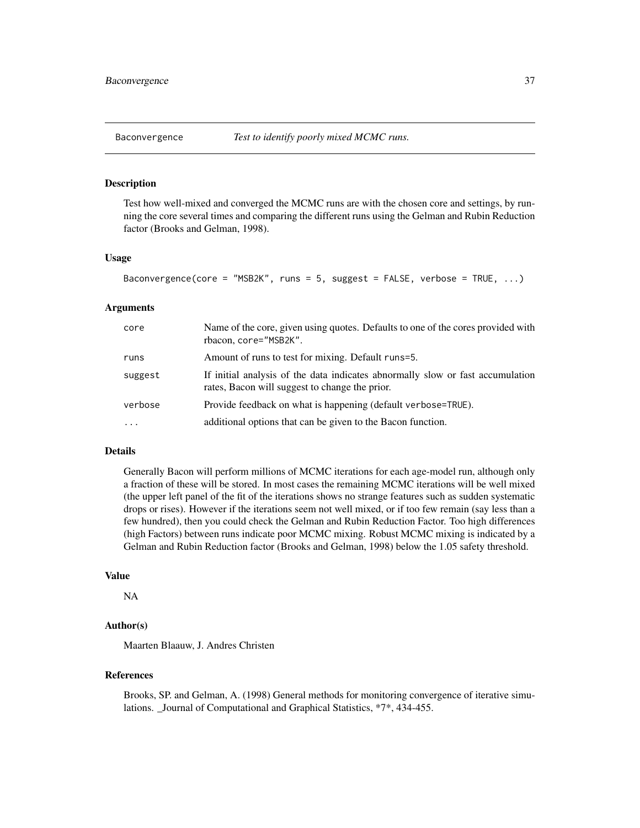<span id="page-36-0"></span>

# **Description**

Test how well-mixed and converged the MCMC runs are with the chosen core and settings, by running the core several times and comparing the different runs using the Gelman and Rubin Reduction factor (Brooks and Gelman, 1998).

# Usage

```
Baconvergence(core = "MSB2K", runs = 5, suggest = FALSE, verbose = TRUE, ...)
```
#### Arguments

| core     | Name of the core, given using quotes. Defaults to one of the cores provided with<br>rbacon, core="MSB2K".                        |
|----------|----------------------------------------------------------------------------------------------------------------------------------|
| runs     | Amount of runs to test for mixing. Default runs=5.                                                                               |
| suggest  | If initial analysis of the data indicates abnormally slow or fast accumulation<br>rates, Bacon will suggest to change the prior. |
| verbose  | Provide feedback on what is happening (default verbose=TRUE).                                                                    |
| $\ddots$ | additional options that can be given to the Bacon function.                                                                      |

# Details

Generally Bacon will perform millions of MCMC iterations for each age-model run, although only a fraction of these will be stored. In most cases the remaining MCMC iterations will be well mixed (the upper left panel of the fit of the iterations shows no strange features such as sudden systematic drops or rises). However if the iterations seem not well mixed, or if too few remain (say less than a few hundred), then you could check the Gelman and Rubin Reduction Factor. Too high differences (high Factors) between runs indicate poor MCMC mixing. Robust MCMC mixing is indicated by a Gelman and Rubin Reduction factor (Brooks and Gelman, 1998) below the 1.05 safety threshold.

#### Value

NA

# Author(s)

Maarten Blaauw, J. Andres Christen

#### References

Brooks, SP. and Gelman, A. (1998) General methods for monitoring convergence of iterative simulations. \_Journal of Computational and Graphical Statistics, \*7\*, 434-455.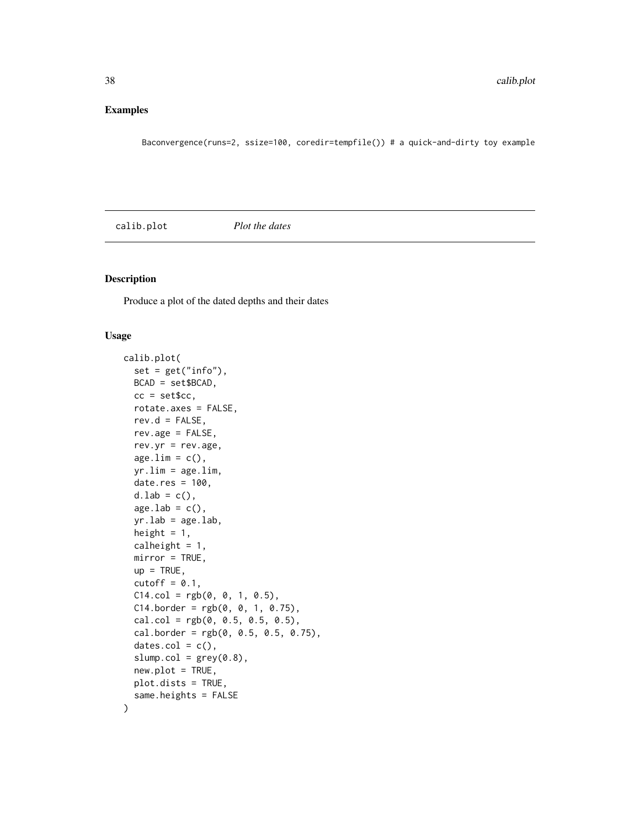# <span id="page-37-0"></span>Examples

Baconvergence(runs=2, ssize=100, coredir=tempfile()) # a quick-and-dirty toy example

<span id="page-37-1"></span>calib.plot *Plot the dates*

#### Description

Produce a plot of the dated depths and their dates

#### Usage

```
calib.plot(
  set = get("info"),BCAD = set$BCAD,cc = set$cc,
  rotate.axes = FALSE,
  rev.d = FALSE,rev.age = FALSE,
  rev.yr = rev.age,
  age.lim = c(),
  yr.lim = age.lim,
  date.res = 100,
  d.\,lab = c(),
  age.lab = c(),
  yr.lab = age.lab,
  height = 1,
  calheight = 1,
 mirror = TRUE,
 up = TRUE,cutoff = 0.1,
  C14.col = rgb(0, 0, 1, 0.5),C14.border = rgb(0, 0, 1, 0.75),
  cal.col = rgb(0, 0.5, 0.5, 0.5),
  cal. border = <math>rgb(0, 0.5, 0.5, 0.75)</math>,dates.col = c(),
  slump.col = grey(0.8),
  new.plot = TRUE,
 plot.dists = TRUE,
  same.heights = FALSE
)
```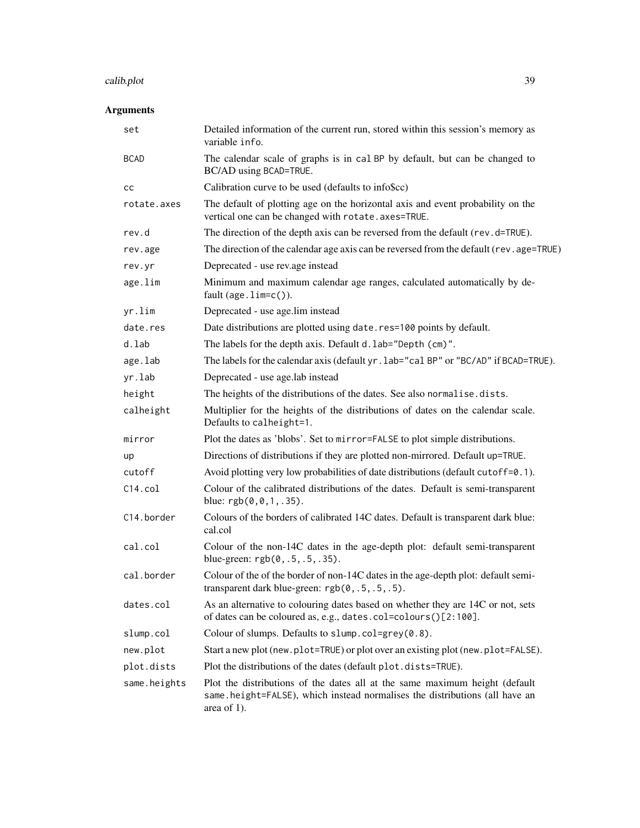#### calib.plot 39

| set          | Detailed information of the current run, stored within this session's memory as<br>variable info.                                                                         |
|--------------|---------------------------------------------------------------------------------------------------------------------------------------------------------------------------|
| <b>BCAD</b>  | The calendar scale of graphs is in cal BP by default, but can be changed to<br>BC/AD using BCAD=TRUE.                                                                     |
| cc           | Calibration curve to be used (defaults to info\$cc)                                                                                                                       |
| rotate.axes  | The default of plotting age on the horizontal axis and event probability on the<br>vertical one can be changed with rotate.axes=TRUE.                                     |
| rev.d        | The direction of the depth axis can be reversed from the default (rev.d=TRUE).                                                                                            |
| rev.age      | The direction of the calendar age axis can be reversed from the default (rev. age=TRUE)                                                                                   |
| rev.yr       | Deprecated - use rev.age instead                                                                                                                                          |
| age.lim      | Minimum and maximum calendar age ranges, calculated automatically by de-<br>fault $(age.lim=c())$ .                                                                       |
| yr.lim       | Deprecated - use age.lim instead                                                                                                                                          |
| date.res     | Date distributions are plotted using date.res=100 points by default.                                                                                                      |
| d.lab        | The labels for the depth axis. Default d. lab="Depth (cm)".                                                                                                               |
| age.lab      | The labels for the calendar axis (default yr . lab="cal BP" or "BC/AD" if BCAD=TRUE).                                                                                     |
| yr.lab       | Deprecated - use age.lab instead                                                                                                                                          |
| height       | The heights of the distributions of the dates. See also normalise.dists.                                                                                                  |
| calheight    | Multiplier for the heights of the distributions of dates on the calendar scale.<br>Defaults to calheight=1.                                                               |
| mirror       | Plot the dates as 'blobs'. Set to mirror=FALSE to plot simple distributions.                                                                                              |
| up           | Directions of distributions if they are plotted non-mirrored. Default up=TRUE.                                                                                            |
| cutoff       | Avoid plotting very low probabilities of date distributions (default cutoff=0.1).                                                                                         |
| C14.col      | Colour of the calibrated distributions of the dates. Default is semi-transparent<br>blue: $rgb(0, 0, 1, .35)$ .                                                           |
| C14.border   | Colours of the borders of calibrated 14C dates. Default is transparent dark blue:<br>cal.col                                                                              |
| cal.col      | Colour of the non-14C dates in the age-depth plot: default semi-transparent<br>blue-green: $rgb(0, .5, .5, .35)$ .                                                        |
| cal.border   | Colour of the of the border of non-14C dates in the age-depth plot: default semi-<br>transparent dark blue-green: $rgb(0, .5, .5, .5)$ .                                  |
| dates.col    | As an alternative to colouring dates based on whether they are 14C or not, sets<br>of dates can be coloured as, e.g., dates.col=colours()[2:100].                         |
| slump.col    | Colour of slumps. Defaults to slump.col=grey(0.8).                                                                                                                        |
| new.plot     | Start a new plot (new.plot=TRUE) or plot over an existing plot (new.plot=FALSE).                                                                                          |
| plot.dists   | Plot the distributions of the dates (default plot.dists=TRUE).                                                                                                            |
| same.heights | Plot the distributions of the dates all at the same maximum height (default<br>same.height=FALSE), which instead normalises the distributions (all have an<br>area of 1). |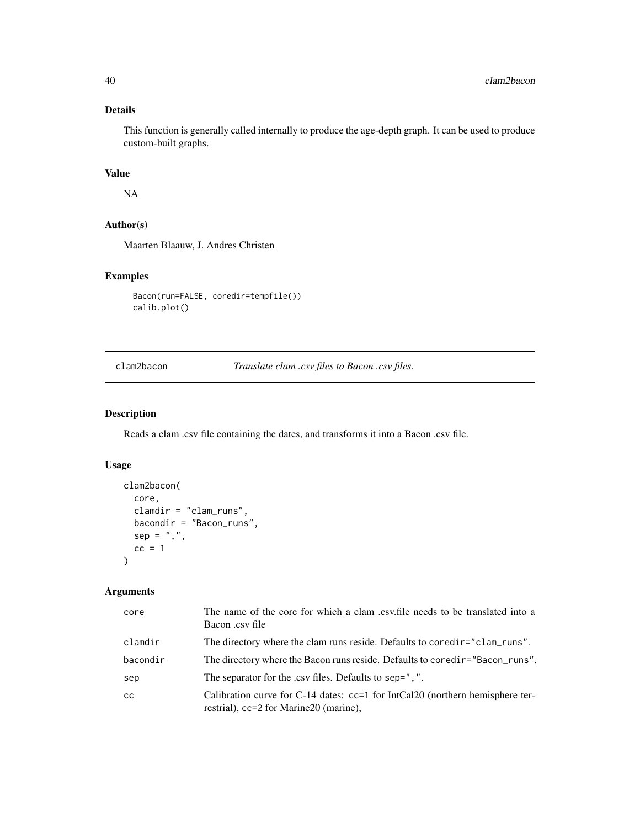# Details

This function is generally called internally to produce the age-depth graph. It can be used to produce custom-built graphs.

# Value

NA

# Author(s)

Maarten Blaauw, J. Andres Christen

# Examples

```
Bacon(run=FALSE, coredir=tempfile())
calib.plot()
```
clam2bacon *Translate clam .csv files to Bacon .csv files.*

# Description

Reads a clam .csv file containing the dates, and transforms it into a Bacon .csv file.

# Usage

```
clam2bacon(
 core,
 clamdir = "clam_runs",
 bacondir = "Bacon_runs",
 sep = ","cc = 1)
```

| core      | The name of the core for which a clam .csv.file needs to be translated into a<br>Bacon .csv file                        |
|-----------|-------------------------------------------------------------------------------------------------------------------------|
| clamdir   | The directory where the clam runs reside. Defaults to coredir-"clam_runs".                                              |
| bacondir  | The directory where the Bacon runs reside. Defaults to coredir="Bacon_runs".                                            |
| sep       | The separator for the .csv files. Defaults to sep=",".                                                                  |
| <b>CC</b> | Calibration curve for C-14 dates: cc=1 for IntCal20 (northern hemisphere ter-<br>restrial), cc=2 for Marine20 (marine), |

<span id="page-39-0"></span>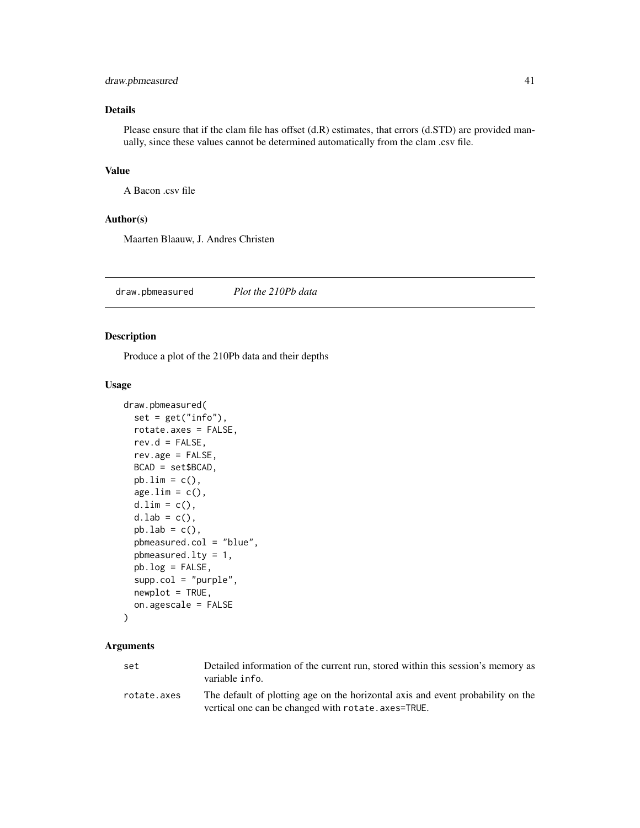# <span id="page-40-0"></span>draw.pbmeasured 41

# Details

Please ensure that if the clam file has offset (d.R) estimates, that errors (d.STD) are provided manually, since these values cannot be determined automatically from the clam .csv file.

#### Value

A Bacon .csv file

# Author(s)

Maarten Blaauw, J. Andres Christen

draw.pbmeasured *Plot the 210Pb data*

#### Description

Produce a plot of the 210Pb data and their depths

#### Usage

```
draw.pbmeasured(
  set = get("info"),
  rotate.axes = FALSE,
  rev.d = FALSE,
  rev.age = FALSE,
  BCAD = set$BCAD,
  pb.lim = c(),
  age.lim = c(),
  d.lim = c(),
  d.lab = c(),
  pb.lab = c(),
  pbmeasured.col = "blue",
  pbmeasured.lty = 1,
  pb.log = FALSE,
  supp.col = "purple",
  newplot = TRUE,on.agescale = FALSE
)
```

| set         | Detailed information of the current run, stored within this session's memory as<br>variable info.                                      |
|-------------|----------------------------------------------------------------------------------------------------------------------------------------|
| rotate.axes | The default of plotting age on the horizontal axis and event probability on the<br>vertical one can be changed with rotate. axes=TRUE. |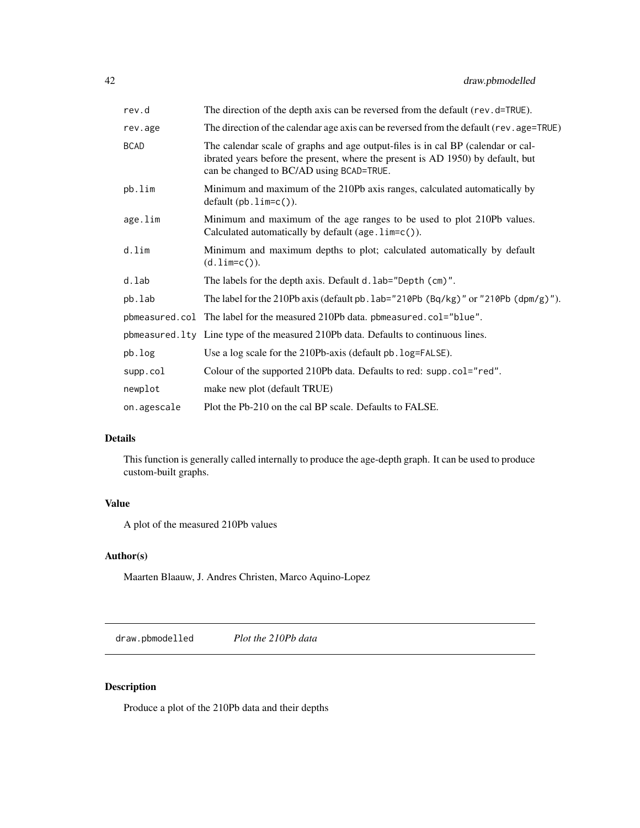<span id="page-41-0"></span>

| rev.d       | The direction of the depth axis can be reversed from the default (rev. d=TRUE).                                                                                                                                 |
|-------------|-----------------------------------------------------------------------------------------------------------------------------------------------------------------------------------------------------------------|
| rev.age     | The direction of the calendar age axis can be reversed from the default (rev. age=TRUE)                                                                                                                         |
| <b>BCAD</b> | The calendar scale of graphs and age output-files is in cal BP (calendar or cal-<br>ibrated years before the present, where the present is AD 1950) by default, but<br>can be changed to BC/AD using BCAD=TRUE. |
| pb.lim      | Minimum and maximum of the 210Pb axis ranges, calculated automatically by<br>$default (pb.lim=c())$ .                                                                                                           |
| age.lim     | Minimum and maximum of the age ranges to be used to plot 210Pb values.<br>Calculated automatically by default (age. $\text{lim}=c()$ ).                                                                         |
| d.lim       | Minimum and maximum depths to plot; calculated automatically by default<br>$(d.lim=c())$ .                                                                                                                      |
| d.lab       | The labels for the depth axis. Default d. lab="Depth (cm)".                                                                                                                                                     |
| pb.lab      | The label for the 210Pb axis (default pb. $l$ ab="210Pb (Bq/kg)" or "210Pb (dpm/g)").                                                                                                                           |
|             | pbmeasured.col The label for the measured 210Pb data. pbmeasured.col="blue".                                                                                                                                    |
|             | pbmeasured. Ity Line type of the measured 210Pb data. Defaults to continuous lines.                                                                                                                             |
| pb.log      | Use a log scale for the 210Pb-axis (default pb. log=FALSE).                                                                                                                                                     |
| supp.col    | Colour of the supported 210Pb data. Defaults to red: supp.col="red".                                                                                                                                            |
| newplot     | make new plot (default TRUE)                                                                                                                                                                                    |
| on.agescale | Plot the Pb-210 on the cal BP scale. Defaults to FALSE.                                                                                                                                                         |

# Details

This function is generally called internally to produce the age-depth graph. It can be used to produce custom-built graphs.

# Value

A plot of the measured 210Pb values

# Author(s)

Maarten Blaauw, J. Andres Christen, Marco Aquino-Lopez

draw.pbmodelled *Plot the 210Pb data*

# Description

Produce a plot of the 210Pb data and their depths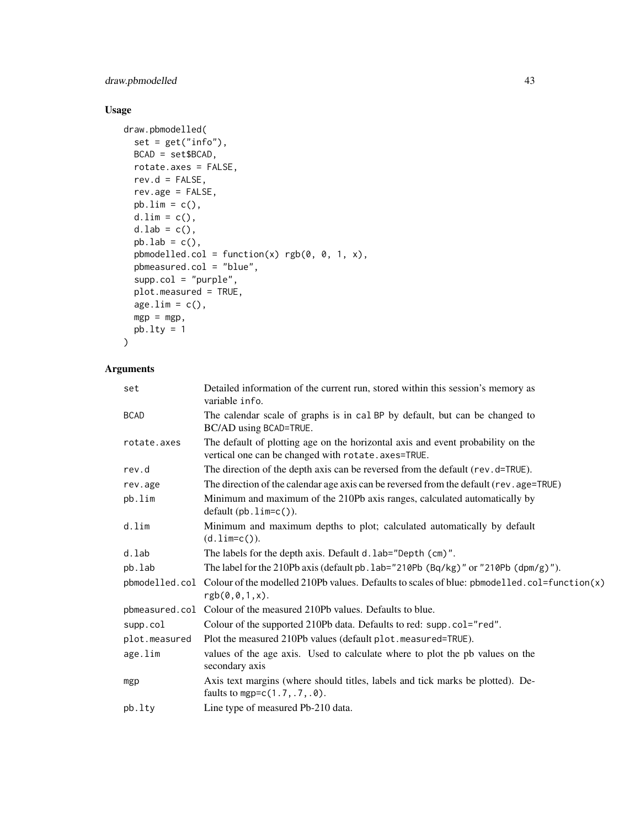# draw.pbmodelled 43

# Usage

```
draw.pbmodelled(
 set = get("info"),BCAD = set$BCAD,
 rotate.axes = FALSE,
 rev.d = FALSE,rev.age = FALSE,pb.lim = c(),
 d.lim = c(),
 d.lab = c(),
 pb.lab = c(),
 pbmodelled.col = function(x) rgb(0, 0, 1, x),
 pbmeasured.col = "blue",
  supp.col = "purple",
 plot.measured = TRUE,
 age.lim = c(),
 mgp = mgp,
 pb.lty = 1
\mathcal{L}
```

| set           | Detailed information of the current run, stored within this session's memory as<br>variable info.                                     |
|---------------|---------------------------------------------------------------------------------------------------------------------------------------|
| <b>BCAD</b>   | The calendar scale of graphs is in cal BP by default, but can be changed to<br>BC/AD using BCAD=TRUE.                                 |
| rotate.axes   | The default of plotting age on the horizontal axis and event probability on the<br>vertical one can be changed with rotate.axes=TRUE. |
| rev.d         | The direction of the depth axis can be reversed from the default (rev. d=TRUE).                                                       |
| rev.age       | The direction of the calendar age axis can be reversed from the default (rev. age=TRUE)                                               |
| pb.lim        | Minimum and maximum of the 210Pb axis ranges, calculated automatically by<br>$default (pb.lim=c())$ .                                 |
| d.lim         | Minimum and maximum depths to plot; calculated automatically by default<br>$(d.lim=c())$ .                                            |
| d.lab         | The labels for the depth axis. Default d. lab="Depth (cm)".                                                                           |
| pb.lab        | The label for the 210Pb axis (default pb. $lab = "210Pb (Bq/kg)"$ or "210Pb (dpm/g)").                                                |
|               | pbmodelled.col Colour of the modelled 210Pb values. Defaults to scales of blue: pbmodelled.col=function(x)<br>rgb(0, 0, 1, x).        |
|               | pbmeasured.col Colour of the measured 210Pb values. Defaults to blue.                                                                 |
| supp.col      | Colour of the supported 210Pb data. Defaults to red: supp.col="red".                                                                  |
| plot.measured | Plot the measured 210Pb values (default plot . measured=TRUE).                                                                        |
| age.lim       | values of the age axis. Used to calculate where to plot the pb values on the<br>secondary axis                                        |
| mgp           | Axis text margins (where should titles, labels and tick marks be plotted). De-<br>faults to mgp= $c(1.7, .7, .0)$ .                   |
| pb.lty        | Line type of measured Pb-210 data.                                                                                                    |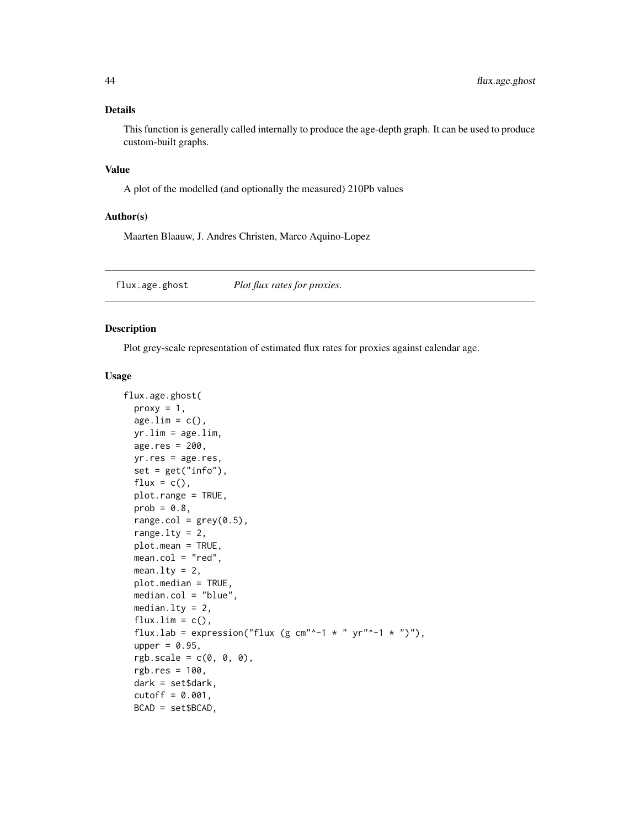# <span id="page-43-0"></span>Details

This function is generally called internally to produce the age-depth graph. It can be used to produce custom-built graphs.

#### Value

A plot of the modelled (and optionally the measured) 210Pb values

#### Author(s)

Maarten Blaauw, J. Andres Christen, Marco Aquino-Lopez

flux.age.ghost *Plot flux rates for proxies.*

# Description

Plot grey-scale representation of estimated flux rates for proxies against calendar age.

#### Usage

```
flux.age.ghost(
 proxy = 1,
  age.lim = c(),
 yr.lim = age.lim,
 age.res = 200,
 yr.res = age.res,
  set = get("info"),flux = c(),
 plot.range = TRUE,
  prob = 0.8,
  range.col = grey(0.5),
  range.lty = 2,
 plot.mean = TRUE,
 mean.col = "red",mean.lty = 2,
 plot.median = TRUE,
 median.col = "blue",
 median.lty = 2,
  flux.lim = c(),
  flux.lab = expression("flux (g cm"^-1 * " yr"^-1 * ")"),
  upper = 0.95,
  rgb.scale = c(\theta, \theta, \theta),
  rgb.res = 100,
  dark = set$dark,
  cutoff = 0.001,BCAD = set$BCAD,
```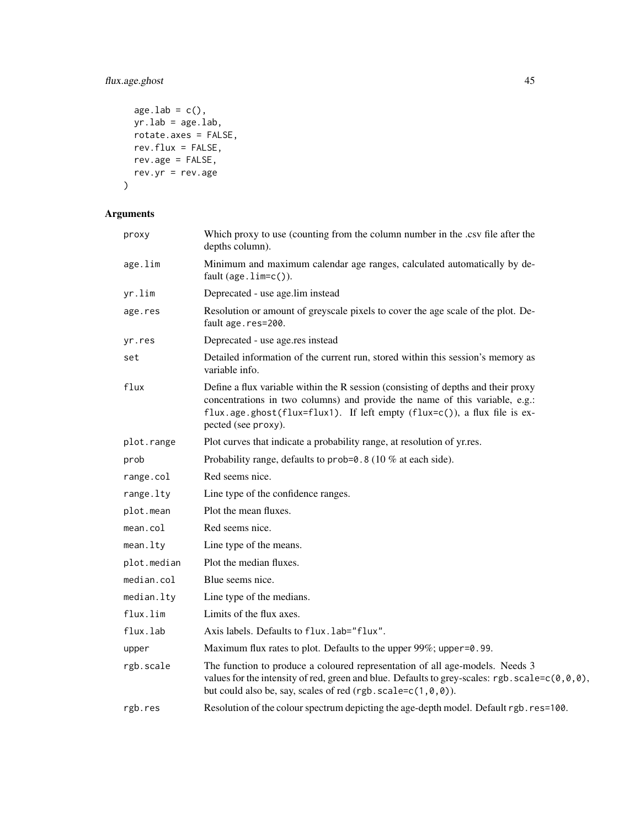# flux.age.ghost 45

```
age.lab = c(),
 yr.lab = age.lab,
 rotate.axes = FALSE,
 rev.flux = FALSE,
 rev.age = FALSE,
 rev.yr = rev.age
\mathcal{L}
```

| proxy       | Which proxy to use (counting from the column number in the .csv file after the<br>depths column).                                                                                                                                                                   |
|-------------|---------------------------------------------------------------------------------------------------------------------------------------------------------------------------------------------------------------------------------------------------------------------|
| age.lim     | Minimum and maximum calendar age ranges, calculated automatically by de-<br>fault $(\text{age}.\text{lim=c}())$ .                                                                                                                                                   |
| yr.lim      | Deprecated - use age.lim instead                                                                                                                                                                                                                                    |
| age.res     | Resolution or amount of greyscale pixels to cover the age scale of the plot. De-<br>fault age.res=200.                                                                                                                                                              |
| yr.res      | Deprecated - use age.res instead                                                                                                                                                                                                                                    |
| set         | Detailed information of the current run, stored within this session's memory as<br>variable info.                                                                                                                                                                   |
| flux        | Define a flux variable within the R session (consisting of depths and their proxy<br>concentrations in two columns) and provide the name of this variable, e.g.:<br>flux.age.ghost(flux=flux1). If left empty (flux=c()), a flux file is ex-<br>pected (see proxy). |
| plot.range  | Plot curves that indicate a probability range, at resolution of yr.res.                                                                                                                                                                                             |
| prob        | Probability range, defaults to prob= $0.8(10\%$ at each side).                                                                                                                                                                                                      |
| range.col   | Red seems nice.                                                                                                                                                                                                                                                     |
| range.lty   | Line type of the confidence ranges.                                                                                                                                                                                                                                 |
| plot.mean   | Plot the mean fluxes.                                                                                                                                                                                                                                               |
| mean.col    | Red seems nice.                                                                                                                                                                                                                                                     |
| mean.lty    | Line type of the means.                                                                                                                                                                                                                                             |
| plot.median | Plot the median fluxes.                                                                                                                                                                                                                                             |
| median.col  | Blue seems nice.                                                                                                                                                                                                                                                    |
| median.lty  | Line type of the medians.                                                                                                                                                                                                                                           |
| flux.lim    | Limits of the flux axes.                                                                                                                                                                                                                                            |
| flux.lab    | Axis labels. Defaults to flux.lab="flux".                                                                                                                                                                                                                           |
| upper       | Maximum flux rates to plot. Defaults to the upper 99%; upper=0.99.                                                                                                                                                                                                  |
| rgb.scale   | The function to produce a coloured representation of all age-models. Needs 3<br>values for the intensity of red, green and blue. Defaults to grey-scales: $rgb.size = c(0, 0, 0)$ ,<br>but could also be, say, scales of red $(rgb.scale=c(1, 0, 0)).$              |
| rgb.res     | Resolution of the colour spectrum depicting the age-depth model. Default rgb. res=100.                                                                                                                                                                              |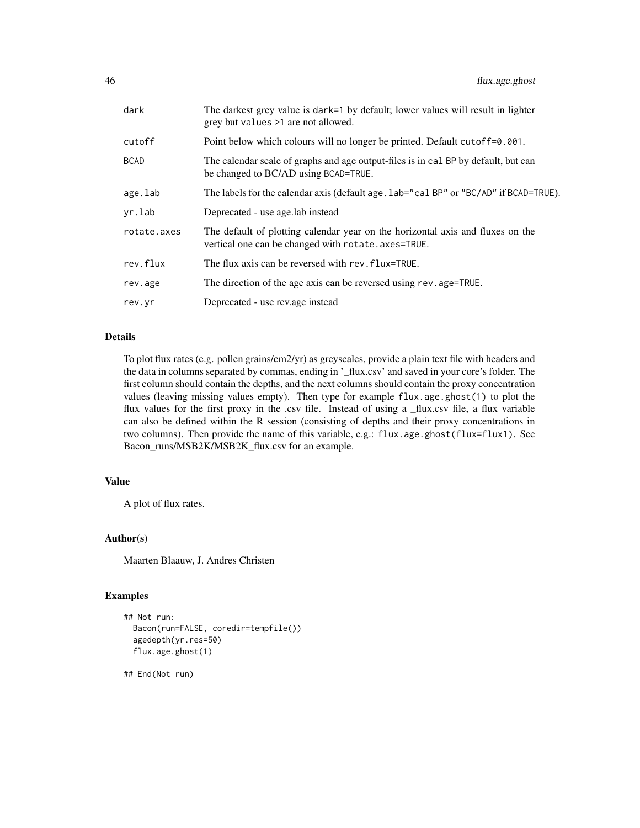| dark        | The darkest grey value is dark=1 by default; lower values will result in lighter<br>grey but values >1 are not allowed.               |
|-------------|---------------------------------------------------------------------------------------------------------------------------------------|
| cutoff      | Point below which colours will no longer be printed. Default cutoff=0.001.                                                            |
| BCAD        | The calendar scale of graphs and age output-files is in cal BP by default, but can<br>be changed to BC/AD using BCAD=TRUE.            |
| age.lab     | The labels for the calendar axis (default age . lab="cal BP" or "BC/AD" if BCAD=TRUE).                                                |
| vr.lab      | Deprecated - use age.lab instead                                                                                                      |
| rotate.axes | The default of plotting calendar year on the horizontal axis and fluxes on the<br>vertical one can be changed with rotate. axes=TRUE. |
| rev.flux    | The flux axis can be reversed with rev. flux=TRUE.                                                                                    |
| rev.age     | The direction of the age axis can be reversed using rev. age=TRUE.                                                                    |
| rev.yr      | Deprecated - use rev.age instead                                                                                                      |

#### Details

To plot flux rates (e.g. pollen grains/cm2/yr) as greyscales, provide a plain text file with headers and the data in columns separated by commas, ending in '\_flux.csv' and saved in your core's folder. The first column should contain the depths, and the next columns should contain the proxy concentration values (leaving missing values empty). Then type for example flux.age.ghost(1) to plot the flux values for the first proxy in the .csv file. Instead of using a \_flux.csv file, a flux variable can also be defined within the R session (consisting of depths and their proxy concentrations in two columns). Then provide the name of this variable, e.g.: flux.age.ghost(flux=flux1). See Bacon\_runs/MSB2K/MSB2K\_flux.csv for an example.

# Value

A plot of flux rates.

#### Author(s)

Maarten Blaauw, J. Andres Christen

#### Examples

```
## Not run:
 Bacon(run=FALSE, coredir=tempfile())
 agedepth(yr.res=50)
 flux.age.ghost(1)
```
## End(Not run)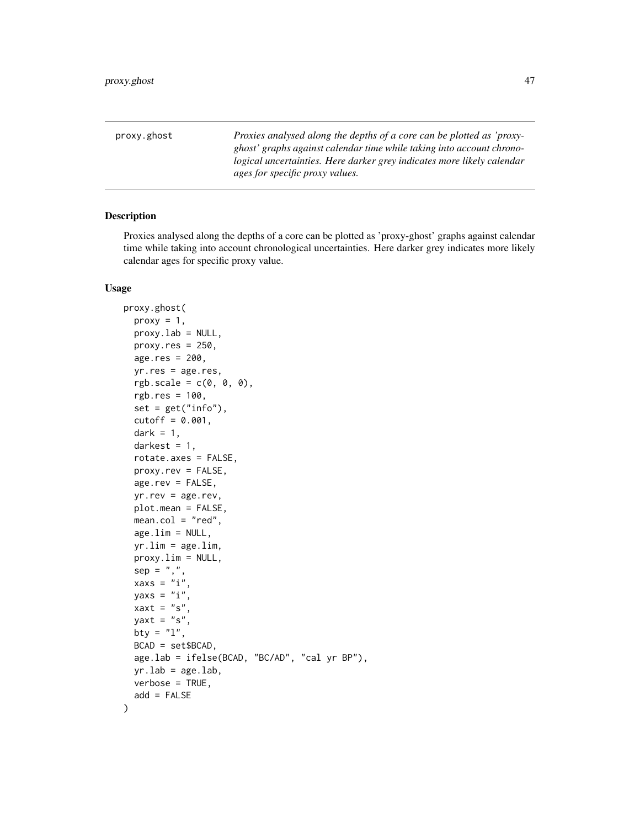<span id="page-46-0"></span>proxy.ghost *Proxies analysed along the depths of a core can be plotted as 'proxyghost' graphs against calendar time while taking into account chronological uncertainties. Here darker grey indicates more likely calendar ages for specific proxy values.*

#### Description

Proxies analysed along the depths of a core can be plotted as 'proxy-ghost' graphs against calendar time while taking into account chronological uncertainties. Here darker grey indicates more likely calendar ages for specific proxy value.

#### Usage

```
proxy.ghost(
 proxy = 1,
 proxy.lab = NULL,
 proxy.res = 250,
 age.res = 200,
 yr.res = age.res,
  rgbscale = c(0, 0, 0),rgb.res = 100,
  set = get("info"),cutoff = 0.001,dark = 1,
 darkest = 1,
  rotate.axes = FALSE,
 proxy.rev = FALSE,
 age.rev = FALSE,
 yr.rev = age.rev,
 plot.mean = FALSE,
 mean.col = "red",age.lim = NULL,yr.lim = age.lim,proxy.lim = NULL,
 sep = ","xaxs = "i",yaxs = "i",xaxt = "s",yaxt = "s",
 bty = "1",BCAD = set$BCAD,
 age.lab = ifelse(BCAD, "BC/AD", "cal yr BP"),
 yr.lab = age.lab,
 verbose = TRUE,
  add = FALSE)
```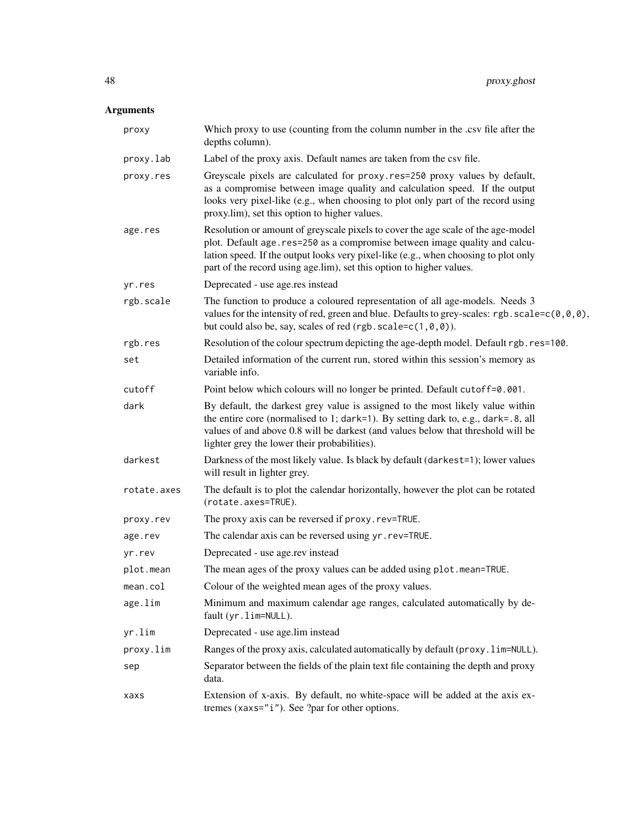| proxy       | Which proxy to use (counting from the column number in the .csv file after the<br>depths column).                                                                                                                                                                                                                             |
|-------------|-------------------------------------------------------------------------------------------------------------------------------------------------------------------------------------------------------------------------------------------------------------------------------------------------------------------------------|
| proxy.lab   | Label of the proxy axis. Default names are taken from the csv file.                                                                                                                                                                                                                                                           |
| proxy.res   | Greyscale pixels are calculated for proxy.res=250 proxy values by default,<br>as a compromise between image quality and calculation speed. If the output<br>looks very pixel-like (e.g., when choosing to plot only part of the record using<br>proxy.lim), set this option to higher values.                                 |
| age.res     | Resolution or amount of greyscale pixels to cover the age scale of the age-model<br>plot. Default age.res=250 as a compromise between image quality and calcu-<br>lation speed. If the output looks very pixel-like (e.g., when choosing to plot only<br>part of the record using age.lim), set this option to higher values. |
| yr.res      | Deprecated - use age.res instead                                                                                                                                                                                                                                                                                              |
| rgb.scale   | The function to produce a coloured representation of all age-models. Needs 3<br>values for the intensity of red, green and blue. Defaults to grey-scales: rgb.scale=c(0,0,0),<br>but could also be, say, scales of red (rgb. scale= $c(1, 0, 0)$ ).                                                                           |
| rgb.res     | Resolution of the colour spectrum depicting the age-depth model. Default rgb.res=100.                                                                                                                                                                                                                                         |
| set         | Detailed information of the current run, stored within this session's memory as<br>variable info.                                                                                                                                                                                                                             |
| cutoff      | Point below which colours will no longer be printed. Default cutoff=0.001.                                                                                                                                                                                                                                                    |
| dark        | By default, the darkest grey value is assigned to the most likely value within<br>the entire core (normalised to 1; dark=1). By setting dark to, e.g., dark=.8, all<br>values of and above 0.8 will be darkest (and values below that threshold will be<br>lighter grey the lower their probabilities).                       |
| darkest     | Darkness of the most likely value. Is black by default (darkest=1); lower values<br>will result in lighter grey.                                                                                                                                                                                                              |
| rotate.axes | The default is to plot the calendar horizontally, however the plot can be rotated<br>(rotate.axes=TRUE).                                                                                                                                                                                                                      |
| proxy.rev   | The proxy axis can be reversed if proxy.rev=TRUE.                                                                                                                                                                                                                                                                             |
| age.rev     | The calendar axis can be reversed using yr.rev=TRUE.                                                                                                                                                                                                                                                                          |
| yr.rev      | Deprecated - use age.rev instead                                                                                                                                                                                                                                                                                              |
| plot.mean   | The mean ages of the proxy values can be added using plot.mean=TRUE.                                                                                                                                                                                                                                                          |
| mean.col    | Colour of the weighted mean ages of the proxy values.                                                                                                                                                                                                                                                                         |
| age.lim     | Minimum and maximum calendar age ranges, calculated automatically by de-<br>fault (yr.lim=NULL).                                                                                                                                                                                                                              |
| yr.lim      | Deprecated - use age.lim instead                                                                                                                                                                                                                                                                                              |
| proxy.lim   | Ranges of the proxy axis, calculated automatically by default (proxy.lim=NULL).                                                                                                                                                                                                                                               |
| sep         | Separator between the fields of the plain text file containing the depth and proxy<br>data.                                                                                                                                                                                                                                   |
| xaxs        | Extension of x-axis. By default, no white-space will be added at the axis ex-<br>tremes (xaxs="i"). See ?par for other options.                                                                                                                                                                                               |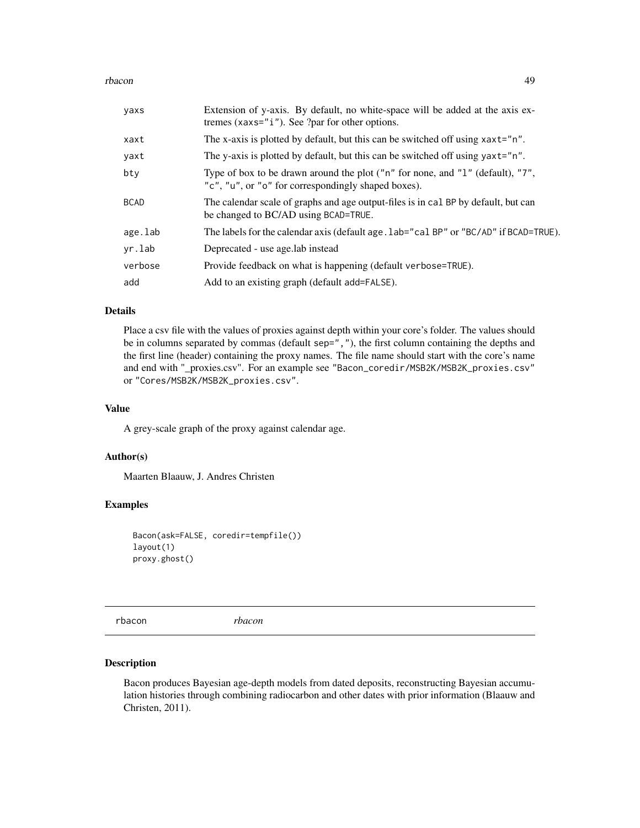#### <span id="page-48-0"></span>rbacon and the contract of the contract of the contract of the contract of the contract of the contract of the contract of the contract of the contract of the contract of the contract of the contract of the contract of the

| yaxs        | Extension of y-axis. By default, no white-space will be added at the axis ex-<br>tremes (xaxs=" $i$ "). See ?par for other options.   |
|-------------|---------------------------------------------------------------------------------------------------------------------------------------|
| xaxt        | The x-axis is plotted by default, but this can be switched off using xaxt="n".                                                        |
| yaxt        | The y-axis is plotted by default, but this can be switched off using yaxt="n".                                                        |
| bty         | Type of box to be drawn around the plot ("n" for none, and "1" (default), "7",<br>"c", "u", or "o" for correspondingly shaped boxes). |
| <b>BCAD</b> | The calendar scale of graphs and age output-files is in cal BP by default, but can<br>be changed to BC/AD using BCAD=TRUE.            |
| age.lab     | The labels for the calendar axis (default age. lab="cal BP" or "BC/AD" if BCAD=TRUE).                                                 |
| yr.lab      | Deprecated - use age. lab instead                                                                                                     |
| verbose     | Provide feedback on what is happening (default verbose=TRUE).                                                                         |
| add         | Add to an existing graph (default add=FALSE).                                                                                         |

#### Details

Place a csv file with the values of proxies against depth within your core's folder. The values should be in columns separated by commas (default sep=","), the first column containing the depths and the first line (header) containing the proxy names. The file name should start with the core's name and end with "\_proxies.csv". For an example see "Bacon\_coredir/MSB2K/MSB2K\_proxies.csv" or "Cores/MSB2K/MSB2K\_proxies.csv".

## Value

A grey-scale graph of the proxy against calendar age.

#### Author(s)

Maarten Blaauw, J. Andres Christen

#### Examples

```
Bacon(ask=FALSE, coredir=tempfile())
layout(1)
proxy.ghost()
```
rbacon *rbacon*

#### Description

Bacon produces Bayesian age-depth models from dated deposits, reconstructing Bayesian accumulation histories through combining radiocarbon and other dates with prior information (Blaauw and Christen, 2011).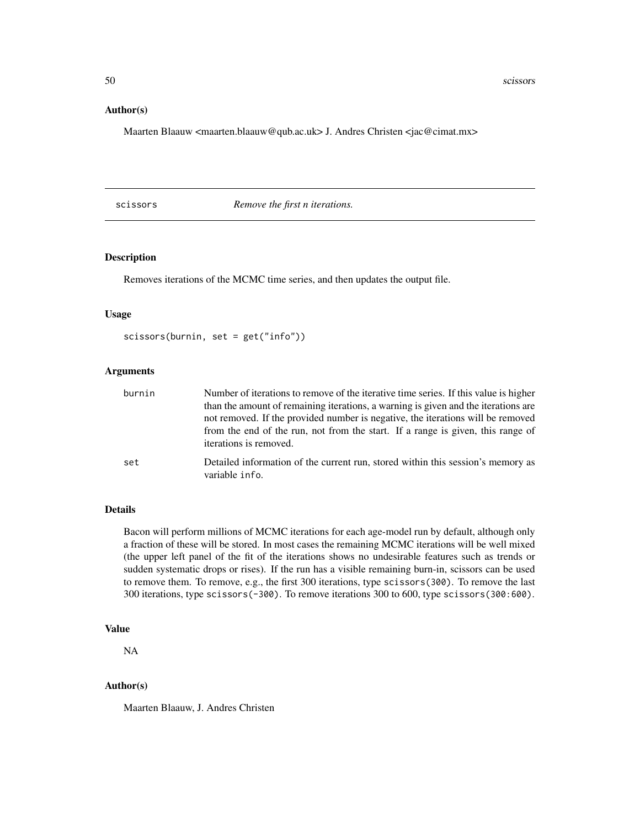<span id="page-49-0"></span>50 scissors and the contract of the contract of the contract of the contract of the contract of the contract of the contract of the contract of the contract of the contract of the contract of the contract of the contract o

#### Author(s)

Maarten Blaauw <maarten.blaauw@qub.ac.uk> J. Andres Christen <jac@cimat.mx>

<span id="page-49-1"></span>scissors *Remove the first n iterations.*

# Description

Removes iterations of the MCMC time series, and then updates the output file.

#### Usage

```
scissors(burnin, set = get("info"))
```
#### Arguments

| burnin | Number of iterations to remove of the iterative time series. If this value is higher                      |
|--------|-----------------------------------------------------------------------------------------------------------|
|        | than the amount of remaining iterations, a warning is given and the iterations are                        |
|        | not removed. If the provided number is negative, the iterations will be removed                           |
|        | from the end of the run, not from the start. If a range is given, this range of<br>iterations is removed. |
| set    | Detailed information of the current run, stored within this session's memory as<br>variable info.         |

#### Details

Bacon will perform millions of MCMC iterations for each age-model run by default, although only a fraction of these will be stored. In most cases the remaining MCMC iterations will be well mixed (the upper left panel of the fit of the iterations shows no undesirable features such as trends or sudden systematic drops or rises). If the run has a visible remaining burn-in, scissors can be used to remove them. To remove, e.g., the first 300 iterations, type scissors(300). To remove the last 300 iterations, type scissors(-300). To remove iterations 300 to 600, type scissors(300:600).

#### Value

NA

# Author(s)

Maarten Blaauw, J. Andres Christen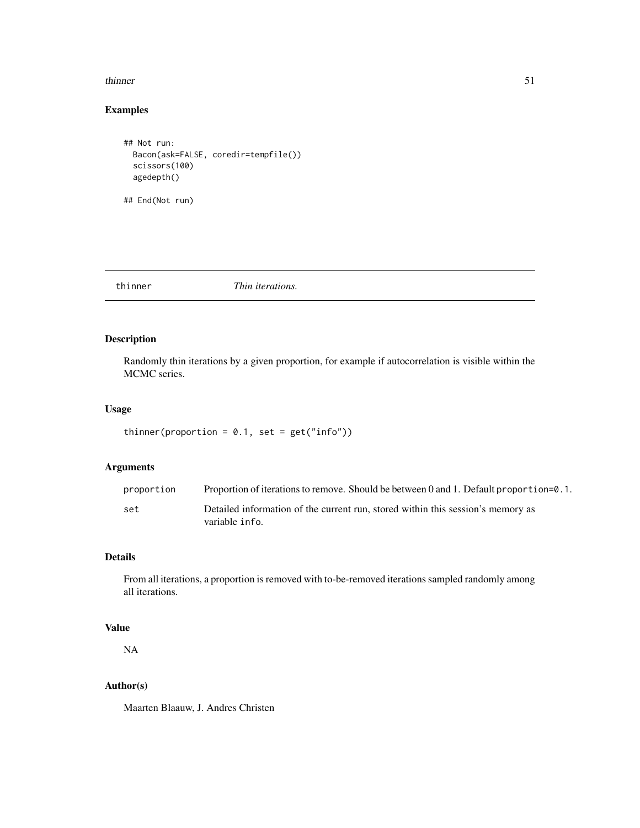#### <span id="page-50-0"></span>thinner 51

# Examples

```
## Not run:
 Bacon(ask=FALSE, coredir=tempfile())
 scissors(100)
 agedepth()
```
## End(Not run)

<span id="page-50-1"></span>thinner *Thin iterations.*

# Description

Randomly thin iterations by a given proportion, for example if autocorrelation is visible within the MCMC series.

## Usage

```
thinner(proportion = 0.1, set = get("info"))
```
# Arguments

| proportion | Proportion of iterations to remove. Should be between 0 and 1. Default proportion=0.1.            |
|------------|---------------------------------------------------------------------------------------------------|
| set        | Detailed information of the current run, stored within this session's memory as<br>variable info. |

# Details

From all iterations, a proportion is removed with to-be-removed iterations sampled randomly among all iterations.

# Value

NA

# Author(s)

Maarten Blaauw, J. Andres Christen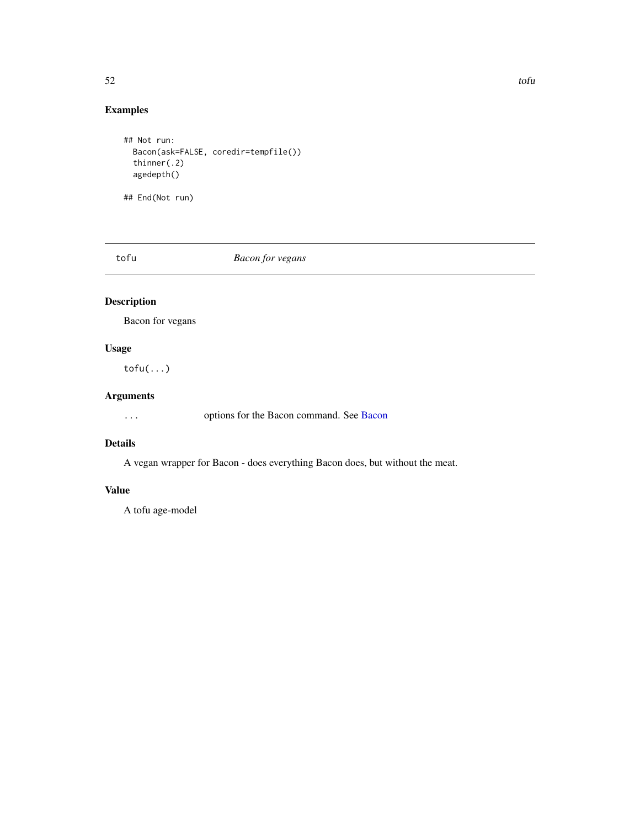# <span id="page-51-0"></span>Examples

```
## Not run:
  Bacon(ask=FALSE, coredir=tempfile())
  thinner(.2)
  agedepth()
```
## End(Not run)

tofu *Bacon for vegans*

# Description

Bacon for vegans

# Usage

 $tofu(...)$ 

# Arguments

... options for the Bacon command. See [Bacon](#page-23-1)

# Details

A vegan wrapper for Bacon - does everything Bacon does, but without the meat.

# Value

A tofu age-model